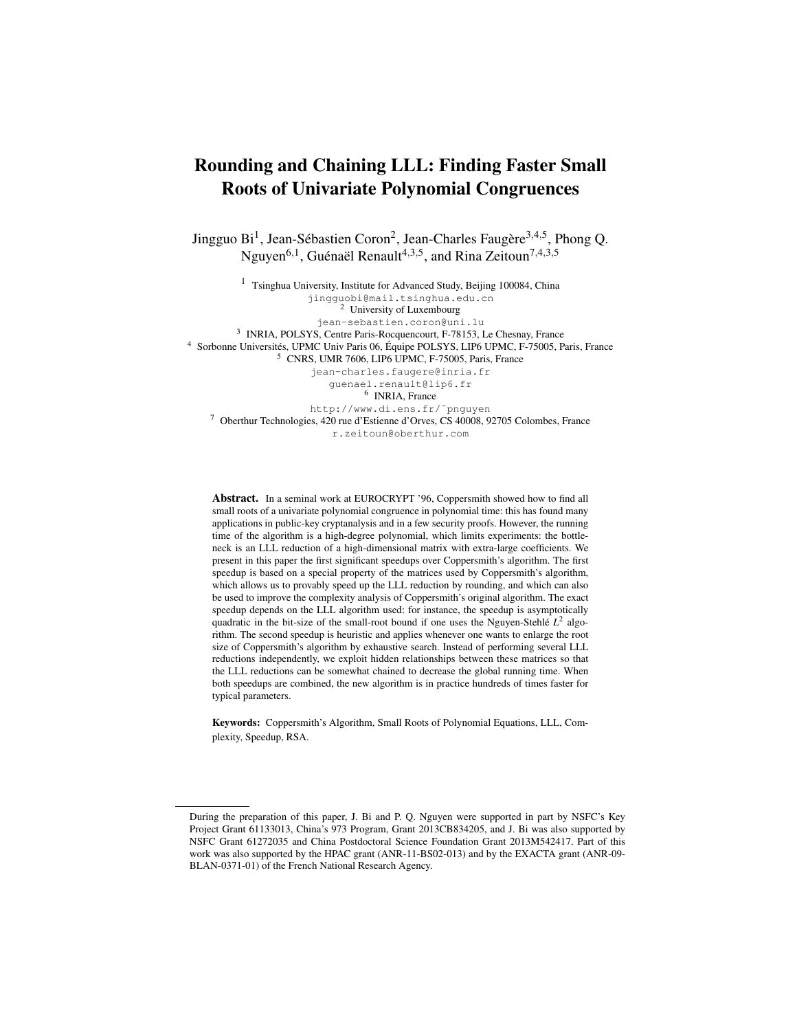# Rounding and Chaining LLL: Finding Faster Small Roots of Univariate Polynomial Congruences

Jingguo Bi<sup>1</sup>, Jean-Sébastien Coron<sup>2</sup>, Jean-Charles Faugère<sup>3,4,5</sup>, Phong Q. Nguyen<sup>6,1</sup>, Guénaël Renault<sup>4,3,5</sup>, and Rina Zeitoun<sup>7,4,3,5</sup>

<sup>1</sup> Tsinghua University, Institute for Advanced Study, Beijing 100084, China jingguobi@mail.tsinghua.edu.cn <sup>2</sup> University of Luxembourg jean-sebastien.coron@uni.lu 3 INRIA, POLSYS, Centre Paris-Rocquencourt, F-78153, Le Chesnay, France <sup>4</sup> Sorbonne Universités, UPMC Univ Paris 06, Équipe POLSYS, LIP6 UPMC, F-75005, Paris, France <sup>5</sup> CNRS, UMR 7606, LIP6 UPMC, F-75005, Paris, France jean-charles.faugere@inria.fr guenael.renault@lip6.fr 6 INRIA, France http://www.di.ens.fr/˜pnguyen <sup>7</sup> Oberthur Technologies, 420 rue d'Estienne d'Orves, CS 40008, 92705 Colombes, France r.zeitoun@oberthur.com

Abstract. In a seminal work at EUROCRYPT '96, Coppersmith showed how to find all small roots of a univariate polynomial congruence in polynomial time: this has found many applications in public-key cryptanalysis and in a few security proofs. However, the running time of the algorithm is a high-degree polynomial, which limits experiments: the bottleneck is an LLL reduction of a high-dimensional matrix with extra-large coefficients. We present in this paper the first significant speedups over Coppersmith's algorithm. The first speedup is based on a special property of the matrices used by Coppersmith's algorithm, which allows us to provably speed up the LLL reduction by rounding, and which can also be used to improve the complexity analysis of Coppersmith's original algorithm. The exact speedup depends on the LLL algorithm used: for instance, the speedup is asymptotically quadratic in the bit-size of the small-root bound if one uses the Nguyen-Stehlé  $L^2$  algorithm. The second speedup is heuristic and applies whenever one wants to enlarge the root size of Coppersmith's algorithm by exhaustive search. Instead of performing several LLL reductions independently, we exploit hidden relationships between these matrices so that the LLL reductions can be somewhat chained to decrease the global running time. When both speedups are combined, the new algorithm is in practice hundreds of times faster for typical parameters.

Keywords: Coppersmith's Algorithm, Small Roots of Polynomial Equations, LLL, Complexity, Speedup, RSA.

During the preparation of this paper, J. Bi and P. Q. Nguyen were supported in part by NSFC's Key Project Grant 61133013, China's 973 Program, Grant 2013CB834205, and J. Bi was also supported by NSFC Grant 61272035 and China Postdoctoral Science Foundation Grant 2013M542417. Part of this work was also supported by the HPAC grant (ANR-11-BS02-013) and by the EXACTA grant (ANR-09- BLAN-0371-01) of the French National Research Agency.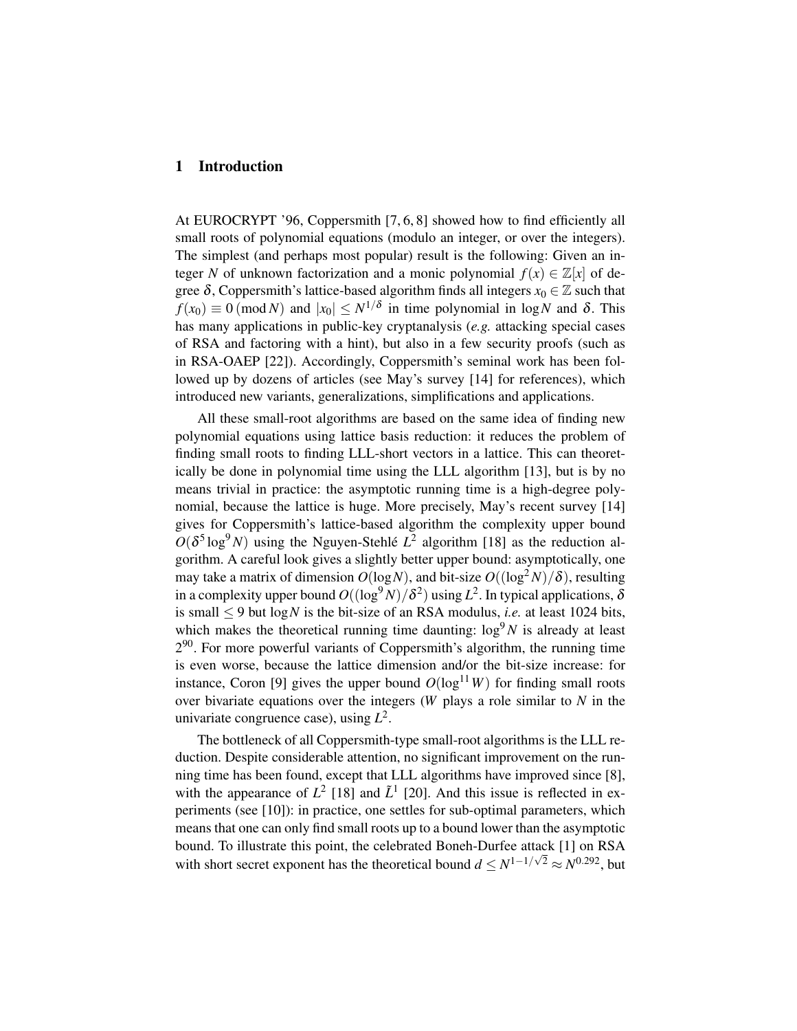# 1 Introduction

At EUROCRYPT '96, Coppersmith [7, 6, 8] showed how to find efficiently all small roots of polynomial equations (modulo an integer, or over the integers). The simplest (and perhaps most popular) result is the following: Given an integer *N* of unknown factorization and a monic polynomial  $f(x) \in \mathbb{Z}[x]$  of degree  $\delta$ , Coppersmith's lattice-based algorithm finds all integers  $x_0 \in \mathbb{Z}$  such that  $f(x_0) \equiv 0 \pmod{N}$  and  $|x_0| \le N^{1/\delta}$  in time polynomial in log *N* and  $\delta$ . This has many applications in public-key cryptanalysis (*e.g.* attacking special cases of RSA and factoring with a hint), but also in a few security proofs (such as in RSA-OAEP [22]). Accordingly, Coppersmith's seminal work has been followed up by dozens of articles (see May's survey [14] for references), which introduced new variants, generalizations, simplifications and applications.

All these small-root algorithms are based on the same idea of finding new polynomial equations using lattice basis reduction: it reduces the problem of finding small roots to finding LLL-short vectors in a lattice. This can theoretically be done in polynomial time using the LLL algorithm [13], but is by no means trivial in practice: the asymptotic running time is a high-degree polynomial, because the lattice is huge. More precisely, May's recent survey [14] gives for Coppersmith's lattice-based algorithm the complexity upper bound  $O(\delta^5 \log^9 N)$  using the Nguyen-Stehlé  $L^2$  algorithm [18] as the reduction algorithm. A careful look gives a slightly better upper bound: asymptotically, one may take a matrix of dimension  $O(logN)$ , and bit-size  $O((log^2N)/\delta)$ , resulting in a complexity upper bound  $O((\log^9 N)/\delta^2)$  using  $L^2.$  In typical applications,  $\delta$ is small  $\leq$  9 but log *N* is the bit-size of an RSA modulus, *i.e.* at least 1024 bits, which makes the theoretical running time daunting:  $\log^9 N$  is already at least 2<sup>90</sup>. For more powerful variants of Coppersmith's algorithm, the running time is even worse, because the lattice dimension and/or the bit-size increase: for instance, Coron [9] gives the upper bound  $O(\log^{11} W)$  for finding small roots over bivariate equations over the integers (*W* plays a role similar to *N* in the univariate congruence case), using *L* 2 .

The bottleneck of all Coppersmith-type small-root algorithms is the LLL reduction. Despite considerable attention, no significant improvement on the running time has been found, except that LLL algorithms have improved since [8], with the appearance of  $L^2$  [18] and  $\tilde{L}^1$  [20]. And this issue is reflected in experiments (see [10]): in practice, one settles for sub-optimal parameters, which means that one can only find small roots up to a bound lower than the asymptotic bound. To illustrate this point, the celebrated Boneh-Durfee attack [1] on RSA with short secret exponent has the theoretical bound  $d \le N^{1-1/\sqrt{2}} \approx N^{0.292}$ , but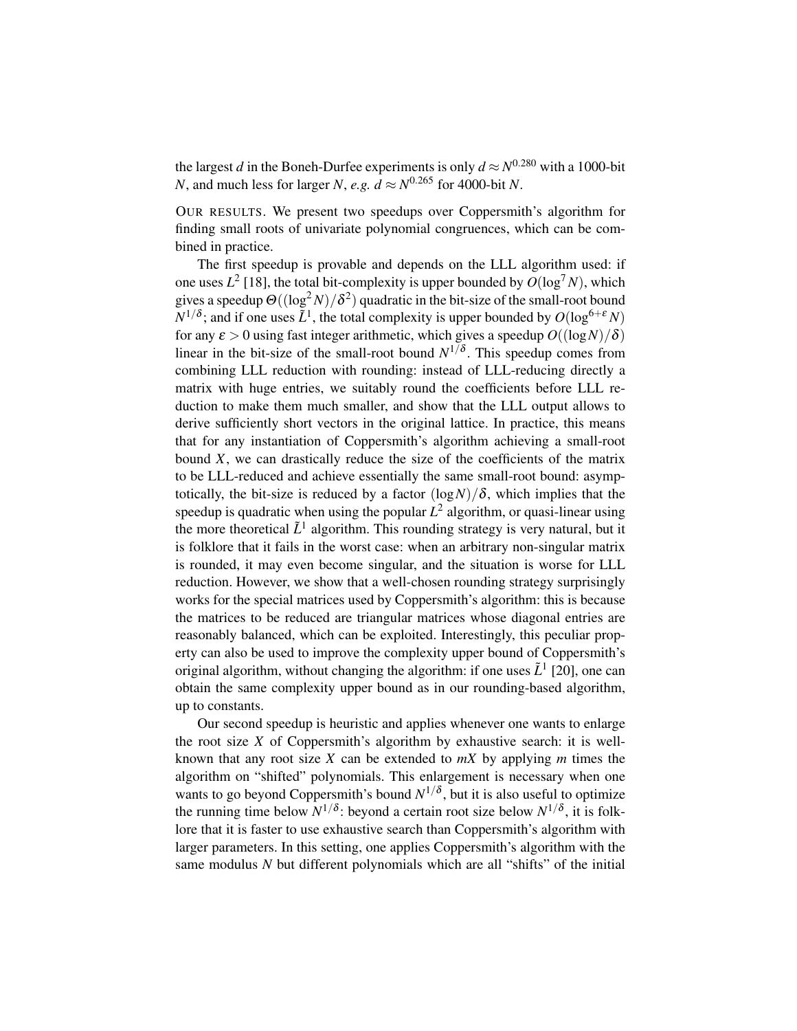the largest *d* in the Boneh-Durfee experiments is only  $d \approx N^{0.280}$  with a 1000-bit *N*, and much less for larger *N*, *e.g.*  $d \approx N^{0.265}$  for 4000-bit *N*.

OUR RESULTS. We present two speedups over Coppersmith's algorithm for finding small roots of univariate polynomial congruences, which can be combined in practice.

The first speedup is provable and depends on the LLL algorithm used: if one uses  $L^2$  [18], the total bit-complexity is upper bounded by  $O(\log^7 N)$ , which gives a speedup  $\Theta((\log^2N)/\delta^2)$  quadratic in the bit-size of the small-root bound  $N^{1/\delta}$ ; and if one uses  $\tilde{L}^1$ , the total complexity is upper bounded by  $O(\log^{6+\epsilon} N)$ for any  $\varepsilon > 0$  using fast integer arithmetic, which gives a speedup  $O((\log N)/\delta)$ linear in the bit-size of the small-root bound  $N^{1/\delta}$ . This speedup comes from combining LLL reduction with rounding: instead of LLL-reducing directly a matrix with huge entries, we suitably round the coefficients before LLL reduction to make them much smaller, and show that the LLL output allows to derive sufficiently short vectors in the original lattice. In practice, this means that for any instantiation of Coppersmith's algorithm achieving a small-root bound *X*, we can drastically reduce the size of the coefficients of the matrix to be LLL-reduced and achieve essentially the same small-root bound: asymptotically, the bit-size is reduced by a factor  $(\log N)/\delta$ , which implies that the speedup is quadratic when using the popular  $L^2$  algorithm, or quasi-linear using the more theoretical  $\tilde{L}^1$  algorithm. This rounding strategy is very natural, but it is folklore that it fails in the worst case: when an arbitrary non-singular matrix is rounded, it may even become singular, and the situation is worse for LLL reduction. However, we show that a well-chosen rounding strategy surprisingly works for the special matrices used by Coppersmith's algorithm: this is because the matrices to be reduced are triangular matrices whose diagonal entries are reasonably balanced, which can be exploited. Interestingly, this peculiar property can also be used to improve the complexity upper bound of Coppersmith's original algorithm, without changing the algorithm: if one uses  $\tilde{L}^1$  [20], one can obtain the same complexity upper bound as in our rounding-based algorithm, up to constants.

Our second speedup is heuristic and applies whenever one wants to enlarge the root size *X* of Coppersmith's algorithm by exhaustive search: it is wellknown that any root size *X* can be extended to *mX* by applying *m* times the algorithm on "shifted" polynomials. This enlargement is necessary when one wants to go beyond Coppersmith's bound  $N^{1/\delta}$ , but it is also useful to optimize the running time below  $N^{1/\delta}$ : beyond a certain root size below  $N^{1/\delta}$ , it is folklore that it is faster to use exhaustive search than Coppersmith's algorithm with larger parameters. In this setting, one applies Coppersmith's algorithm with the same modulus *N* but different polynomials which are all "shifts" of the initial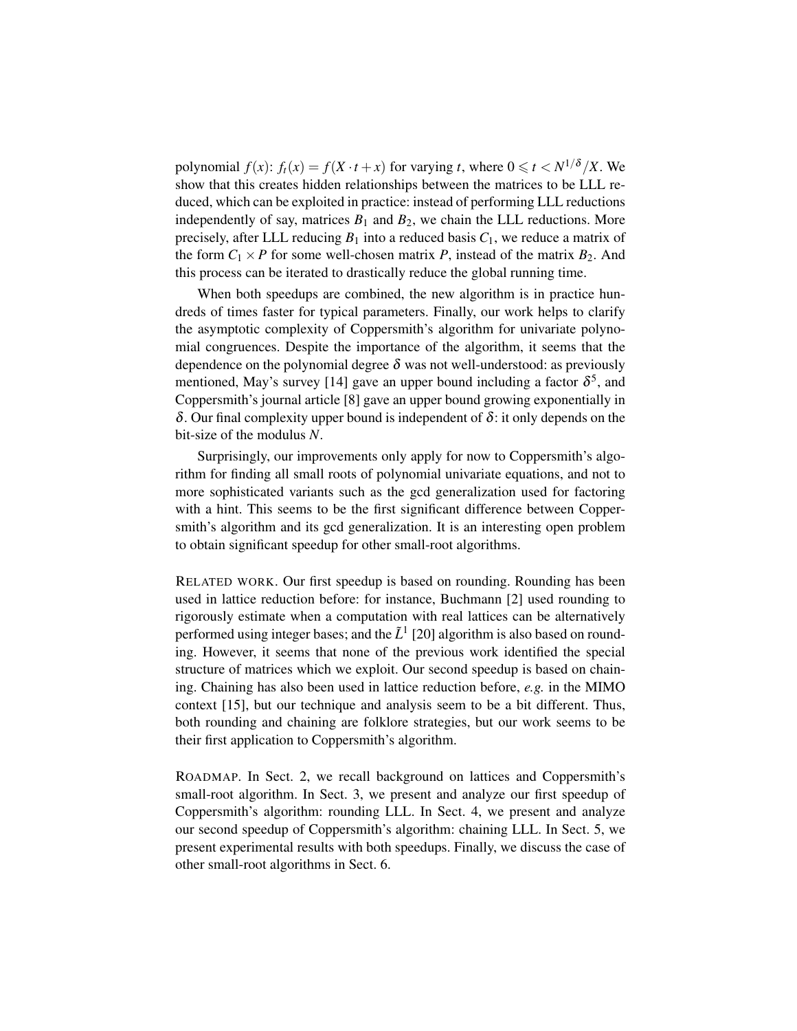polynomial  $f(x)$ :  $f_t(x) = f(X \cdot t + x)$  for varying *t*, where  $0 \le t \le N^{1/\delta}/X$ . We show that this creates hidden relationships between the matrices to be LLL reduced, which can be exploited in practice: instead of performing LLL reductions independently of say, matrices  $B_1$  and  $B_2$ , we chain the LLL reductions. More precisely, after LLL reducing  $B_1$  into a reduced basis  $C_1$ , we reduce a matrix of the form  $C_1 \times P$  for some well-chosen matrix *P*, instead of the matrix  $B_2$ . And this process can be iterated to drastically reduce the global running time.

When both speedups are combined, the new algorithm is in practice hundreds of times faster for typical parameters. Finally, our work helps to clarify the asymptotic complexity of Coppersmith's algorithm for univariate polynomial congruences. Despite the importance of the algorithm, it seems that the dependence on the polynomial degree  $\delta$  was not well-understood: as previously mentioned, May's survey [14] gave an upper bound including a factor  $\delta^5$ , and Coppersmith's journal article [8] gave an upper bound growing exponentially in δ. Our final complexity upper bound is independent of δ: it only depends on the bit-size of the modulus *N*.

Surprisingly, our improvements only apply for now to Coppersmith's algorithm for finding all small roots of polynomial univariate equations, and not to more sophisticated variants such as the gcd generalization used for factoring with a hint. This seems to be the first significant difference between Coppersmith's algorithm and its gcd generalization. It is an interesting open problem to obtain significant speedup for other small-root algorithms.

RELATED WORK. Our first speedup is based on rounding. Rounding has been used in lattice reduction before: for instance, Buchmann [2] used rounding to rigorously estimate when a computation with real lattices can be alternatively performed using integer bases; and the  $\tilde{L}^1$  [20] algorithm is also based on rounding. However, it seems that none of the previous work identified the special structure of matrices which we exploit. Our second speedup is based on chaining. Chaining has also been used in lattice reduction before, *e.g.* in the MIMO context [15], but our technique and analysis seem to be a bit different. Thus, both rounding and chaining are folklore strategies, but our work seems to be their first application to Coppersmith's algorithm.

ROADMAP. In Sect. 2, we recall background on lattices and Coppersmith's small-root algorithm. In Sect. 3, we present and analyze our first speedup of Coppersmith's algorithm: rounding LLL. In Sect. 4, we present and analyze our second speedup of Coppersmith's algorithm: chaining LLL. In Sect. 5, we present experimental results with both speedups. Finally, we discuss the case of other small-root algorithms in Sect. 6.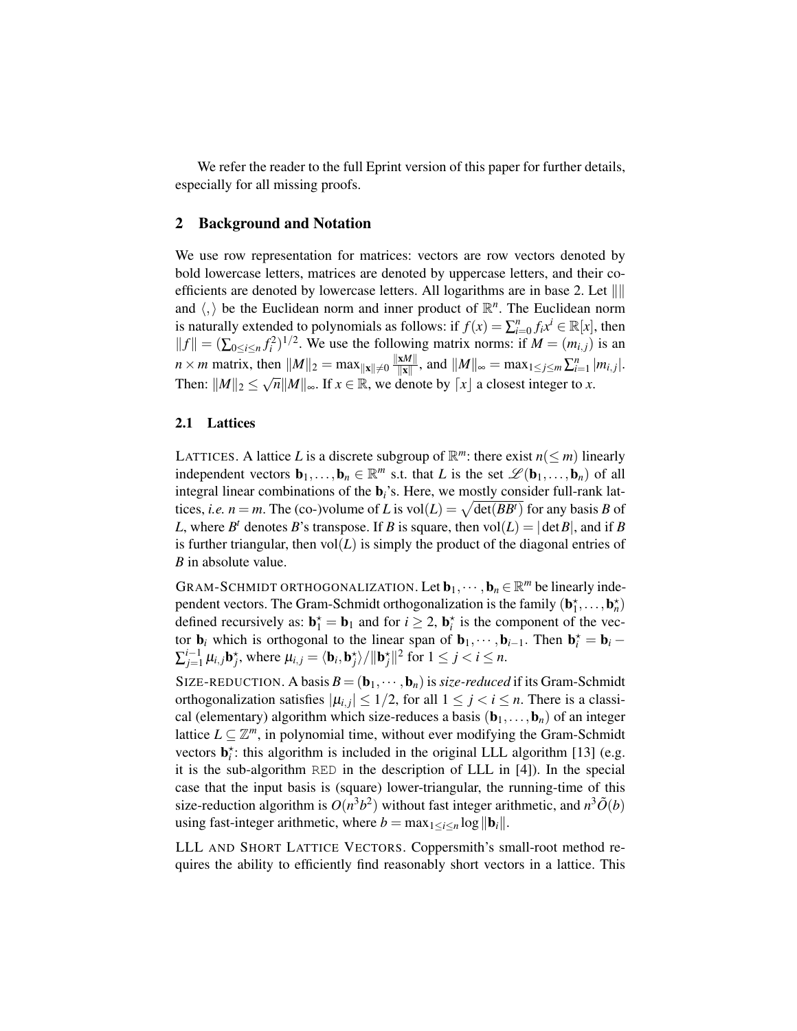We refer the reader to the full Eprint version of this paper for further details, especially for all missing proofs.

# 2 Background and Notation

We use row representation for matrices: vectors are row vectors denoted by bold lowercase letters, matrices are denoted by uppercase letters, and their coefficients are denoted by lowercase letters. All logarithms are in base 2. Let  $\| \|$ and  $\langle , \rangle$  be the Euclidean norm and inner product of  $\mathbb{R}^n$ . The Euclidean norm is naturally extended to polynomials as follows: if  $f(x) = \sum_{i=0}^{n} f_i x^i \in \mathbb{R}[x]$ , then  $||f|| = (\sum_{0 \le i \le n} f_i^2)^{1/2}$ . We use the following matrix norms: if  $M = (m_{i,j})$  is an  $n \times m$  matrix, then  $||M||_2 = \max_{||\mathbf{x}|| \neq 0} \frac{||\mathbf{x}M||}{||\mathbf{x}||}$  $\lim_{n \to \infty} ||M||_2 = \max_{\substack{\|\mathbf{x}\| \to 0}} \frac{\|\mathbf{x}M\|}{\|\mathbf{x}\|}, \text{ and } ||M||_{\infty} = \max_{1 \le j \le m} \sum_{i=1}^n |m_{i,j}|.$ Then:  $||M||_2 \le \sqrt{n} ||M||_{\infty}$ . If  $x \in \mathbb{R}$ , we denote by  $\lceil x \rfloor$  a closest integer to *x*.

# 2.1 Lattices

LATTICES. A lattice *L* is a discrete subgroup of  $\mathbb{R}^m$ : there exist  $n(\leq m)$  linearly independent vectors  $\mathbf{b}_1,\ldots,\mathbf{b}_n \in \mathbb{R}^m$  s.t. that *L* is the set  $\mathscr{L}(\mathbf{b}_1,\ldots,\mathbf{b}_n)$  of all integral linear combinations of the b*i*'s. Here, we mostly consider full-rank lattices, *i.e.*  $n = m$ . The (co-)volume of *L* is vol $(L) = \sqrt{\det(BB^t)}$  for any basis *B* of *L*, where *B*<sup>*t*</sup> denotes *B*'s transpose. If *B* is square, then  $vol(L) = |det B|$ , and if *B* is further triangular, then  $vol(L)$  is simply the product of the diagonal entries of *B* in absolute value.

GRAM-SCHMIDT ORTHOGONALIZATION. Let  $\mathbf{b}_1, \dots, \mathbf{b}_n \in \mathbb{R}^m$  be linearly independent vectors. The Gram-Schmidt orthogonalization is the family  $(\mathbf{b}_1^*,...,\mathbf{b}_n^*)$ defined recursively as:  $\mathbf{b}_1^* = \mathbf{b}_1$  and for  $i \geq 2$ ,  $\mathbf{b}_i^*$  is the component of the vector  $\mathbf{b}_i$  which is orthogonal to the linear span of  $\mathbf{b}_1, \dots, \mathbf{b}_{i-1}$ . Then  $\mathbf{b}_i^* = \mathbf{b}_i$  –  $\sum_{j=1}^{i-1} \mu_{i,j} \mathbf{b}_{j}^{\star}$ , where  $\mu_{i,j} = \langle \mathbf{b}_{i}, \mathbf{b}_{j}^{\star} \rangle / \|\mathbf{b}_{j}^{\star}\|^{2}$  for  $1 \leq j < i \leq n$ .

SIZE-REDUCTION. A basis  $B = (\mathbf{b}_1, \dots, \mathbf{b}_n)$  is *size-reduced* if its Gram-Schmidt orthogonalization satisfies  $|\mu_{i,j}| \leq 1/2$ , for all  $1 \leq j < i \leq n$ . There is a classical (elementary) algorithm which size-reduces a basis  $(\mathbf{b}_1,\ldots,\mathbf{b}_n)$  of an integer lattice  $L \subseteq \mathbb{Z}^m$ , in polynomial time, without ever modifying the Gram-Schmidt vectors  $\mathbf{b}_i^*$ : this algorithm is included in the original LLL algorithm [13] (e.g. it is the sub-algorithm RED in the description of LLL in [4]). In the special case that the input basis is (square) lower-triangular, the running-time of this size-reduction algorithm is  $O(n^3b^2)$  without fast integer arithmetic, and  $n^3\tilde{O}(b)$ using fast-integer arithmetic, where  $b = \max_{1 \le i \le n} \log ||\mathbf{b}_i||$ .

LLL AND SHORT LATTICE VECTORS. Coppersmith's small-root method requires the ability to efficiently find reasonably short vectors in a lattice. This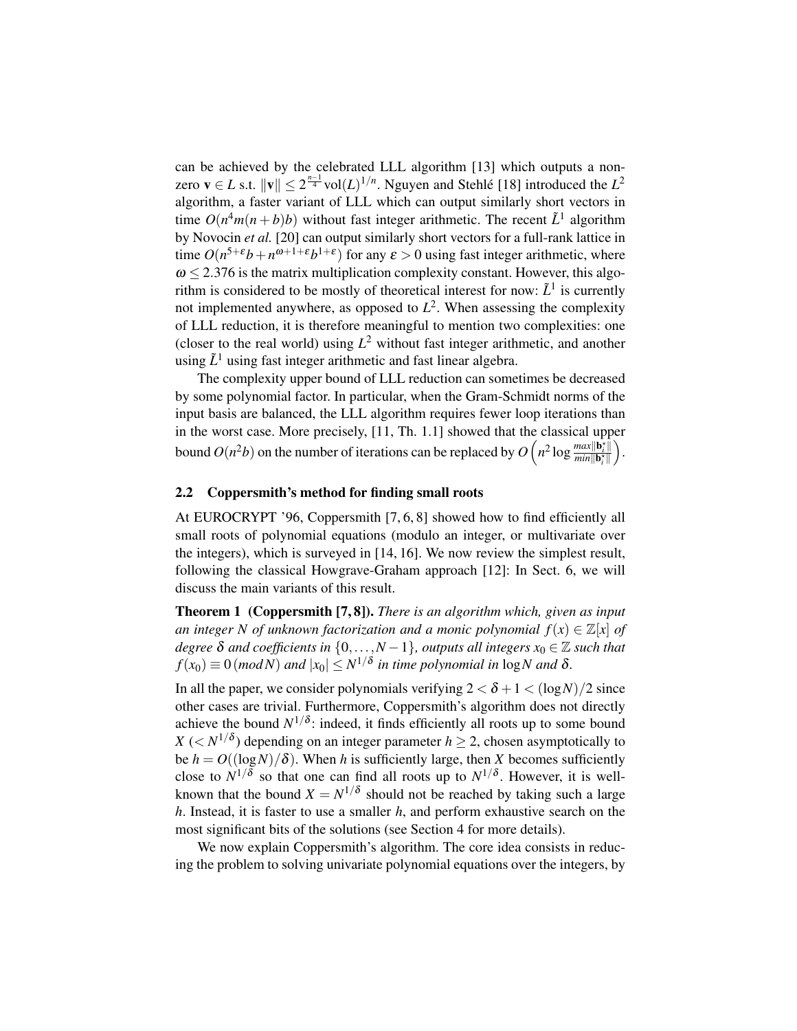can be achieved by the celebrated LLL algorithm [13] which outputs a nonzero  $\mathbf{v} \in L$  s.t.  $\|\mathbf{v}\| \le 2^{\frac{n-1}{4}}$ vol $(L)^{1/n}$ . Nguyen and Stehlé [18] introduced the  $L^2$ algorithm, a faster variant of LLL which can output similarly short vectors in time  $O(n^4m(n+b)b)$  without fast integer arithmetic. The recent  $\tilde{L}^1$  algorithm by Novocin *et al.* [20] can output similarly short vectors for a full-rank lattice in time  $O(n^{5+\epsilon}b+n^{\omega+1+\epsilon}b^{1+\epsilon})$  for any  $\epsilon > 0$  using fast integer arithmetic, where  $\omega \leq 2.376$  is the matrix multiplication complexity constant. However, this algorithm is considered to be mostly of theoretical interest for now:  $\tilde{L}^1$  is currently not implemented anywhere, as opposed to  $L^2$ . When assessing the complexity of LLL reduction, it is therefore meaningful to mention two complexities: one (closer to the real world) using  $L^2$  without fast integer arithmetic, and another using  $\tilde{L}^1$  using fast integer arithmetic and fast linear algebra.

The complexity upper bound of LLL reduction can sometimes be decreased by some polynomial factor. In particular, when the Gram-Schmidt norms of the input basis are balanced, the LLL algorithm requires fewer loop iterations than in the worst case. More precisely, [11, Th. 1.1] showed that the classical upper bound  $O(n^2b)$  on the number of iterations can be replaced by  $O\left(n^2\log\frac{\text{max}||\mathbf{b}_i^*||}{\text{min}||\mathbf{b}_i^*||}\right)$  $\frac{max \left\Vert \mathbf{b}_{i}^{\star} \right\Vert}{min \left\Vert \mathbf{b}_{i}^{\star} \right\Vert}$ .

### 2.2 Coppersmith's method for finding small roots

At EUROCRYPT '96, Coppersmith [7, 6, 8] showed how to find efficiently all small roots of polynomial equations (modulo an integer, or multivariate over the integers), which is surveyed in [14, 16]. We now review the simplest result, following the classical Howgrave-Graham approach [12]: In Sect. 6, we will discuss the main variants of this result.

Theorem 1 (Coppersmith [7, 8]). *There is an algorithm which, given as input an integer N of unknown factorization and a monic polynomial*  $f(x) \in \mathbb{Z}[x]$  *of degree*  $\delta$  *and coefficients in*  $\{0, \ldots, N-1\}$ *, outputs all integers*  $x_0 \in \mathbb{Z}$  *such that*  $f(x_0) \equiv 0 \pmod{N}$  *and*  $|x_0| \leq N^{1/\delta}$  *in time polynomial in*  $\log N$  *and*  $\delta$ *.* 

In all the paper, we consider polynomials verifying  $2 < \delta + 1 < (\log N)/2$  since other cases are trivial. Furthermore, Coppersmith's algorithm does not directly achieve the bound  $N^{1/\delta}$ : indeed, it finds efficiently all roots up to some bound  $X \left( \langle N^{1/\delta} \right)$  depending on an integer parameter  $h \geq 2$ , chosen asymptotically to be  $h = O((\log N)/\delta)$ . When *h* is sufficiently large, then *X* becomes sufficiently close to  $N^{1/\delta}$  so that one can find all roots up to  $N^{1/\delta}$ . However, it is wellknown that the bound  $X = N^{1/\delta}$  should not be reached by taking such a large *h*. Instead, it is faster to use a smaller *h*, and perform exhaustive search on the most significant bits of the solutions (see Section 4 for more details).

We now explain Coppersmith's algorithm. The core idea consists in reducing the problem to solving univariate polynomial equations over the integers, by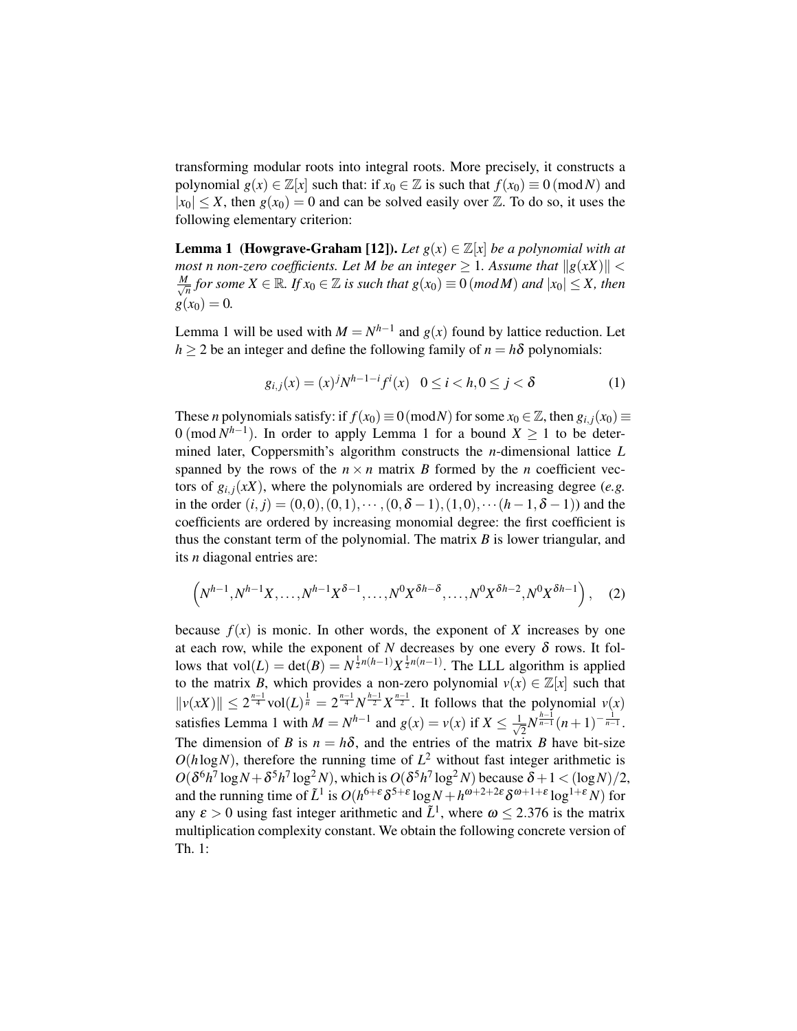transforming modular roots into integral roots. More precisely, it constructs a polynomial  $g(x) \in \mathbb{Z}[x]$  such that: if  $x_0 \in \mathbb{Z}$  is such that  $f(x_0) \equiv 0 \pmod{N}$  and  $|x_0| \le X$ , then  $g(x_0) = 0$  and can be solved easily over  $\mathbb{Z}$ . To do so, it uses the following elementary criterion:

**Lemma 1** (**Howgrave-Graham [12]**). Let  $g(x) \in \mathbb{Z}[x]$  be a polynomial with at *most n non-zero coefficients. Let M be an integer*  $\geq$  1*. Assume that*  $||g(xX)||$  < √ *M*  $\frac{1}{n}$  for some  $X \in \mathbb{R}$ . If  $x_0 \in \mathbb{Z}$  is such that  $g(x_0) \equiv 0 \, (\text{{\it mod }} M)$  and  $|x_0| \leq X$ , then  $g(x_0) = 0.$ 

Lemma 1 will be used with  $M = N^{h-1}$  and  $g(x)$  found by lattice reduction. Let *h*  $\geq$  2 be an integer and define the following family of *n* = *h* $\delta$  polynomials:

$$
g_{i,j}(x) = (x)^j N^{h-1-i} f^i(x) \quad 0 \le i < h, 0 \le j < \delta \tag{1}
$$

These *n* polynomials satisfy: if  $f(x_0) \equiv 0 \pmod{N}$  for some  $x_0 \in \mathbb{Z}$ , then  $g_{i,j}(x_0) \equiv 0$ 0 (mod  $N^{h-1}$ ). In order to apply Lemma 1 for a bound  $X \ge 1$  to be determined later, Coppersmith's algorithm constructs the *n*-dimensional lattice *L* spanned by the rows of the  $n \times n$  matrix *B* formed by the *n* coefficient vectors of  $g_{i,j}(xX)$ , where the polynomials are ordered by increasing degree (*e.g.*) in the order  $(i, j) = (0, 0), (0, 1), \cdots, (0, \delta - 1), (1, 0), \cdots (h - 1, \delta - 1)$  and the coefficients are ordered by increasing monomial degree: the first coefficient is thus the constant term of the polynomial. The matrix *B* is lower triangular, and its *n* diagonal entries are:

$$
\left(N^{h-1},N^{h-1}X,\ldots,N^{h-1}X^{\delta-1},\ldots,N^{0}X^{\delta h-\delta},\ldots,N^{0}X^{\delta h-2},N^{0}X^{\delta h-1}\right),\quad(2)
$$

because  $f(x)$  is monic. In other words, the exponent of *X* increases by one at each row, while the exponent of *N* decreases by one every  $\delta$  rows. It follows that  $vol(L) = det(B) = N^{\frac{1}{2}n(h-1)} X^{\frac{1}{2}n(n-1)}$ . The LLL algorithm is applied to the matrix *B*, which provides a non-zero polynomial  $v(x) \in \mathbb{Z}[x]$  such that  $\|v(xX)\| \leq 2^{\frac{n-1}{4}} \text{vol}(L)^{\frac{1}{n}} = 2^{\frac{n-1}{4}} N^{\frac{n-1}{2}} X^{\frac{n-1}{2}}$ . It follows that the polynomial  $v(x)$ satisfies Lemma 1 with  $M = N^{h-1}$  and  $g(x) = v(x)$  if  $X \leq \frac{1}{\sqrt{2}}$  $\frac{1}{2}N^{\frac{h-1}{n-1}}(n+1)^{-\frac{1}{n-1}}.$ The dimension of *B* is  $n = h\delta$ , and the entries of the matrix *B* have bit-size  $O(h \log N)$ , therefore the running time of  $L^2$  without fast integer arithmetic is  $O(\delta^6 h^7 \log N + \delta^5 h^7 \log^2 N)$ , which is  $O(\delta^5 h^7 \log^2 N)$  because  $\delta + 1 < (\log N)/2$ , and the running time of  $\tilde{L}^1$  is  $O(h^{6+\varepsilon} \delta^{5+\varepsilon} \log N + h^{\omega+2+2\varepsilon} \delta^{\omega+1+\varepsilon} \log^{1+\varepsilon} N)$  for any  $\varepsilon > 0$  using fast integer arithmetic and  $\tilde{L}^1$ , where  $\omega \le 2.376$  is the matrix multiplication complexity constant. We obtain the following concrete version of Th. 1: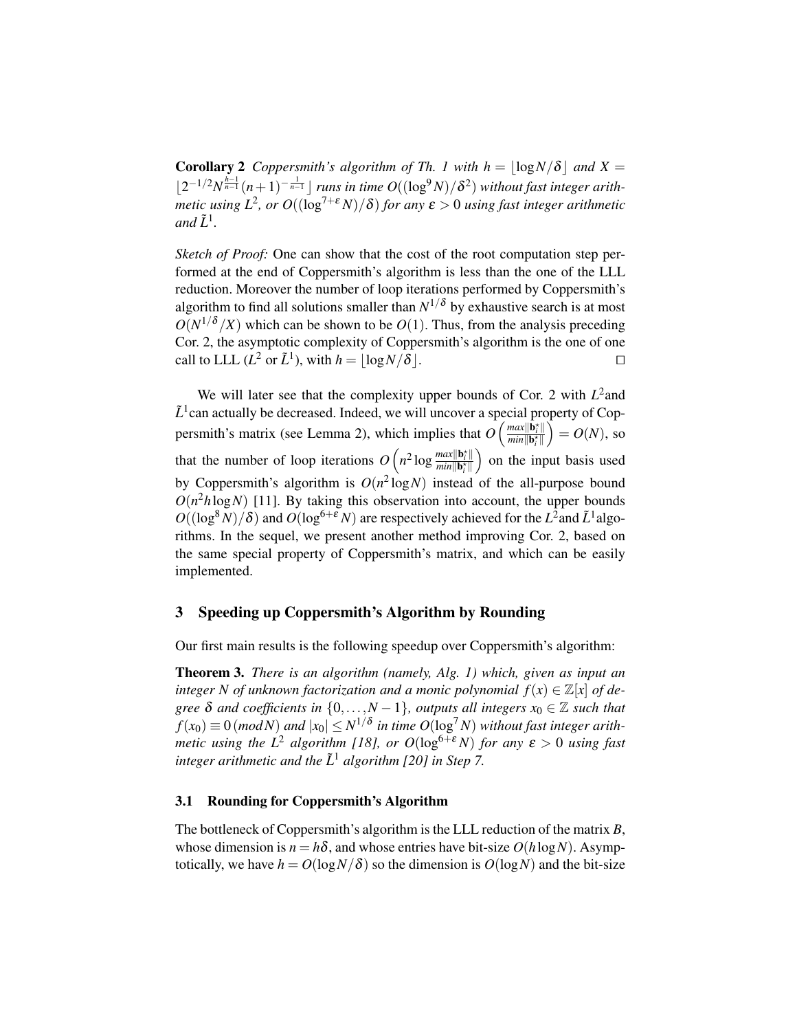**Corollary 2** *Coppersmith's algorithm of Th. 1 with h* =  $\log N/\delta$  *and X* =  $\lfloor 2^{-1/2} N^{\frac{h-1}{n-1}} (n+1)^{-\frac{1}{n-1}} \rfloor$  *runs in time O*( $(\log^9 N)/\delta^2$ ) *without fast integer arith*metic using  $L^2$ , or  $O((\log^{7+\epsilon} N)/\delta)$  for any  $\epsilon > 0$  using fast integer arithmetic and  $\tilde{L}^1$ .

*Sketch of Proof:* One can show that the cost of the root computation step performed at the end of Coppersmith's algorithm is less than the one of the LLL reduction. Moreover the number of loop iterations performed by Coppersmith's algorithm to find all solutions smaller than  $N^{1/\delta}$  by exhaustive search is at most  $O(N^{1/\delta}/X)$  which can be shown to be  $O(1)$ . Thus, from the analysis preceding Cor. 2, the asymptotic complexity of Coppersmith's algorithm is the one of one call to LLL  $(L^2 \text{ or } L^1)$ , with  $h = \lfloor \log N/\delta \rfloor$ .

We will later see that the complexity upper bounds of Cor. 2 with  $L^2$  and  $\tilde{L}^1$  can actually be decreased. Indeed, we will uncover a special property of Coppersmith's matrix (see Lemma 2), which implies that  $O\left(\frac{max||\mathbf{b}_i^*||}{min||\mathbf{b}_i^*||}\right)$  $\frac{\max \left\Vert \mathbf{b}_{i}^{\star} \right\Vert}{\min \left\Vert \mathbf{b}_{i}^{\star} \right\Vert}$   $= O(N),$  so that the number of loop iterations  $O\left(n^2 \log \frac{\max ||\mathbf{b}_i^*||}{\min ||\mathbf{b}_i^*||}\right)$  $\frac{max \|\mathbf{b}_{i}^{*}\|}{min \|\mathbf{b}_{i}^{*}\|}$  on the input basis used by Coppersmith's algorithm is  $O(n^2 \log N)$  instead of the all-purpose bound  $O(n^2h \log N)$  [11]. By taking this observation into account, the upper bounds  $O((\log^8 N)/\delta)$  and  $O(\log^{6+\epsilon} N)$  are respectively achieved for the *L*<sup>2</sup> and  $\tilde{L}^1$  algorithms. In the sequel, we present another method improving Cor. 2, based on the same special property of Coppersmith's matrix, and which can be easily implemented.

# 3 Speeding up Coppersmith's Algorithm by Rounding

Our first main results is the following speedup over Coppersmith's algorithm:

Theorem 3. *There is an algorithm (namely, Alg. 1) which, given as input an integer N of unknown factorization and a monic polynomial*  $f(x) \in \mathbb{Z}[x]$  *of degree*  $\delta$  *and coefficients in*  $\{0,\ldots,N-1\}$ *, outputs all integers*  $x_0 \in \mathbb{Z}$  *such that*  $f(x_0) \equiv 0 \, (\text{mod } N)$  and  $|x_0| \le N^{1/\delta}$  in time  $O(\log^7 N)$  without fast integer arith*metic using the L*<sup>2</sup> *algorithm [18], or*  $O(log^{6+\epsilon} N)$  *for any*  $\epsilon > 0$  *using fast integer arithmetic and the*  $\tilde{L}^1$  *algorithm [20] in Step 7.* 

# 3.1 Rounding for Coppersmith's Algorithm

The bottleneck of Coppersmith's algorithm is the LLL reduction of the matrix *B*, whose dimension is  $n = h\delta$ , and whose entries have bit-size  $O(h \log N)$ . Asymptotically, we have  $h = O(\log N/\delta)$  so the dimension is  $O(\log N)$  and the bit-size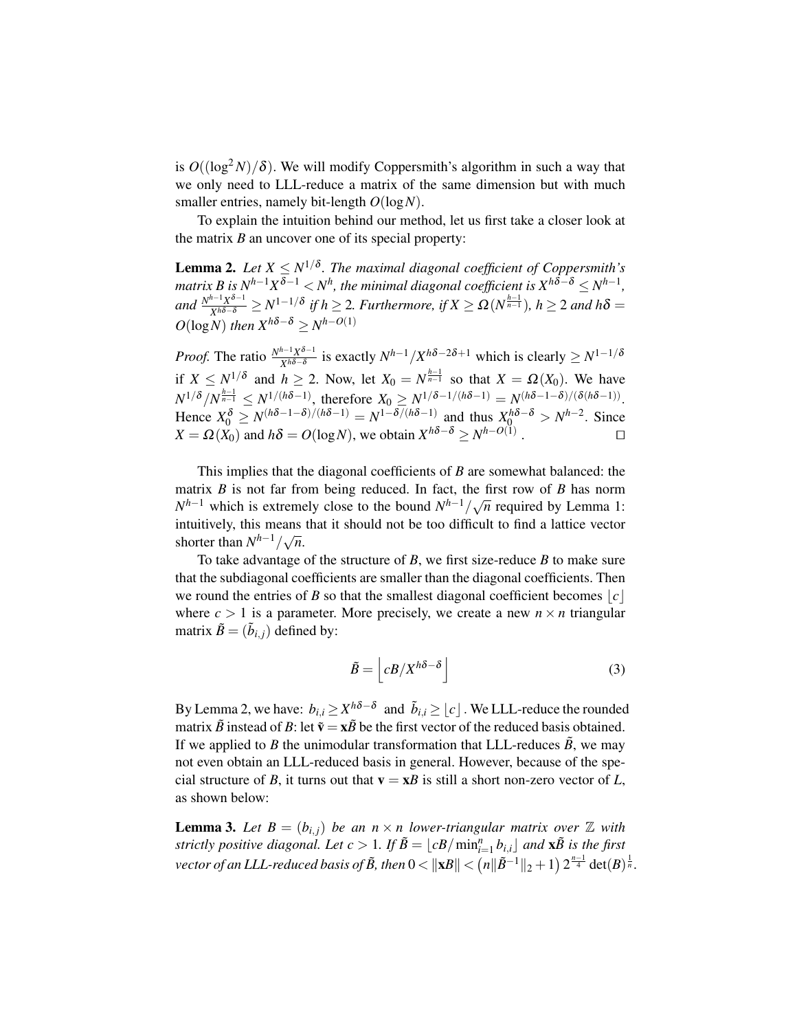is  $O((\log^2 N)/\delta)$ . We will modify Coppersmith's algorithm in such a way that we only need to LLL-reduce a matrix of the same dimension but with much smaller entries, namely bit-length *O*(log*N*).

To explain the intuition behind our method, let us first take a closer look at the matrix *B* an uncover one of its special property:

**Lemma 2.** Let  $X \leq N^{1/\delta}$ . The maximal diagonal coefficient of Coppersmith's *matrix B is N<sup>h−1</sup>X* $^{\delta-1}$  < *N<sup>h</sup>*, the minimal diagonal coefficient is  $X^{h\delta-\delta}\leq N^{h-1}$ ,  $\int \frac{M^{h-1}X^{\delta-1}}{X^{h\delta-\delta}} \geq N^{1-1/\delta}$  if  $h \geq 2$ . Furthermore, if  $X \geq \Omega(N^{\frac{h-1}{n-1}})$ ,  $h \geq 2$  and  $h\delta =$  $O(\log N)$  *then*  $X^{h\delta-\delta} \geq N^{h-O(1)}$ 

*Proof.* The ratio  $\frac{N^{h-1}X^{\delta-1}}{V^{h\delta-\delta}}$  $\frac{N_{h-1}X^{\delta-1}}{X^{h\delta-\delta}}$  is exactly  $N^{h-1}/X^{h\delta-2\delta+1}$  which is clearly  $\geq N^{1-1/\delta}$ if  $X \le N^{1/\delta}$  and  $h \ge 2$ . Now, let  $X_0 = N^{\frac{h-1}{n-1}}$  so that  $X = \Omega(X_0)$ . We have  $N^{1/\delta}/N^{\frac{h-1}{n-1}} \leq N^{1/(h\delta-1)}$ , therefore  $X_0 \geq N^{1/\delta-1/(h\delta-1)} = N^{(h\delta-1-\delta)/(\delta(h\delta-1))}$ . Hence  $X_0^{\delta} \ge N^{(h\delta - 1 - \delta)/(h\delta - 1)} = N^{1 - \delta/(h\delta - 1)}$  and thus  $X_0^{h\delta - \delta} > N^{h-2}$ . Since  $X = \Omega(X_0)$  and  $h\delta = O(\log N)$ , we obtain  $X^{h\delta-\delta} \ge N^{h-O(1)}$ .

This implies that the diagonal coefficients of *B* are somewhat balanced: the matrix *B* is not far from being reduced. In fact, the first row of *B* has norm  $N^{h-1}$  which is extremely close to the bound  $N^{h-1}/\sqrt{N}$ *n* required by Lemma 1: intuitively, this means that it should not be too difficult to find a lattice vector shorter than  $N^{h-1}/\sqrt{N}$ *n*.

To take advantage of the structure of *B*, we first size-reduce *B* to make sure that the subdiagonal coefficients are smaller than the diagonal coefficients. Then we round the entries of *B* so that the smallest diagonal coefficient becomes  $|c|$ where  $c > 1$  is a parameter. More precisely, we create a new  $n \times n$  triangular matrix  $\tilde{B} = (\tilde{b}_{i,j})$  defined by:

$$
\tilde{B} = \left[ cB / X^{h\delta - \delta} \right] \tag{3}
$$

By Lemma 2, we have:  $b_{i,i} \ge X^{h\delta-\delta}$  and  $\tilde{b}_{i,i} \ge \lfloor c \rfloor$  . We LLL-reduce the rounded matrix  $\tilde{B}$  instead of *B*: let  $\tilde{v} = x\tilde{B}$  be the first vector of the reduced basis obtained. If we applied to *B* the unimodular transformation that LLL-reduces  $\tilde{B}$ , we may not even obtain an LLL-reduced basis in general. However, because of the special structure of *B*, it turns out that  $\mathbf{v} = \mathbf{x}B$  is still a short non-zero vector of *L*, as shown below:

**Lemma 3.** Let  $B = (b_{i,j})$  be an  $n \times n$  lower-triangular matrix over  $\mathbb{Z}$  with *strictly positive diagonal. Let*  $c > 1$ *. If*  $\tilde{B} = \lfloor cB/\min_{i=1}^n b_{i,i} \rfloor$  *and*  $\mathbf{x}\tilde{B}$  *is the first*  $\alpha$  *vector of an LLL-reduced basis of*  $\tilde{B}$ *, then*  $0<\|{\bf x}B\|<\big(n\|\tilde{B}^{-1}\|_2+1\big)$  $2^{\frac{n-1}{4}}\det(B)^{\frac{1}{n}}.$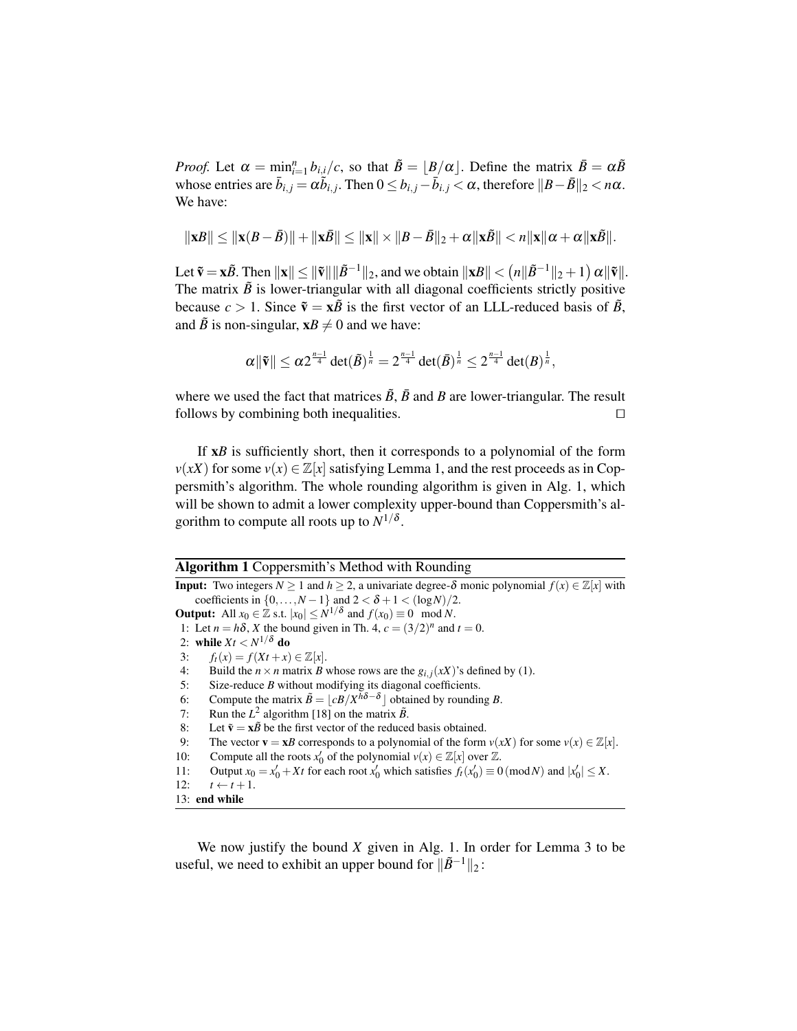*Proof.* Let  $\alpha = \min_{i=1}^{n} b_{i,i}/c$ , so that  $\tilde{B} = \lfloor B/\alpha \rfloor$ . Define the matrix  $\bar{B} = \alpha \tilde{B}$ whose entries are  $\bar{b}_{i,j} = \alpha \tilde{b}_{i,j}$ . Then  $0 \leq b_{i,j} - \bar{b}_{i,j} < \alpha$ , therefore  $\|B - \bar{B}\|_2 < n\alpha$ . We have:

$$
\|\mathbf{x}\mathcal{B}\| \le \|\mathbf{x}(\mathcal{B}-\bar{\mathcal{B}})\| + \|\mathbf{x}\bar{\mathcal{B}}\| \le \|\mathbf{x}\| \times \|\mathcal{B}-\bar{\mathcal{B}}\|_2 + \alpha \|\mathbf{x}\tilde{\mathcal{B}}\| < n \|\mathbf{x}\|\alpha + \alpha \|\mathbf{x}\tilde{\mathcal{B}}\|.
$$

Let  $\tilde{\mathbf{v}} = \mathbf{x}\tilde{B}$ . Then  $\|\mathbf{x}\| \le \|\tilde{\mathbf{v}}\| \|\tilde{B}^{-1}\|_2$ , and we obtain  $\|\mathbf{x}B\| < (n\|\tilde{B}^{-1}\|_2 + 1) \alpha \|\tilde{\mathbf{v}}\|.$ The matrix  $\tilde{B}$  is lower-triangular with all diagonal coefficients strictly positive because  $c > 1$ . Since  $\tilde{\mathbf{v}} = \mathbf{x} \tilde{B}$  is the first vector of an LLL-reduced basis of  $\tilde{B}$ , and  $\tilde{B}$  is non-singular,  $xB \neq 0$  and we have:

$$
\alpha \|\mathbf{\tilde{v}}\| \leq \alpha 2^{\frac{n-1}{4}} \det(\tilde{B})^{\frac{1}{n}} = 2^{\frac{n-1}{4}} \det(\bar{B})^{\frac{1}{n}} \leq 2^{\frac{n-1}{4}} \det(B)^{\frac{1}{n}},
$$

where we used the fact that matrices  $\tilde{B}$ ,  $\bar{B}$  and *B* are lower-triangular. The result follows by combining both inequalities.  $\Box$ 

If x*B* is sufficiently short, then it corresponds to a polynomial of the form  $v(xX)$  for some  $v(x) \in \mathbb{Z}[x]$  satisfying Lemma 1, and the rest proceeds as in Coppersmith's algorithm. The whole rounding algorithm is given in Alg. 1, which will be shown to admit a lower complexity upper-bound than Coppersmith's algorithm to compute all roots up to  $N^{1/\delta}$ .

Algorithm 1 Coppersmith's Method with Rounding

**Input:** Two integers  $N \ge 1$  and  $h \ge 2$ , a univariate degree- $\delta$  monic polynomial  $f(x) \in \mathbb{Z}[x]$  with coefficients in  $\{0,\ldots,N-1\}$  and  $2 < \delta + 1 < (\log N)/2$ . **Output:** All  $x_0 \in \mathbb{Z}$  s.t.  $|x_0| \leq N^{1/\delta}$  and  $f(x_0) \equiv 0 \mod N$ . 1: Let  $n = h\delta$ , *X* the bound given in Th. 4,  $c = (3/2)^n$  and  $t = 0$ . 2: while  $Xt < N^{1/\delta}$  do 3:  $f_t(x) = f(Xt + x) \in \mathbb{Z}[x].$ 4: Build the  $n \times n$  matrix *B* whose rows are the  $g_{i,j}(xX)$ 's defined by (1). 5: Size-reduce *B* without modifying its diagonal coefficients. 6: Compute the matrix  $\tilde{B} = |cB/X^{h\delta-\delta}|$  obtained by rounding *B*. 7: Run the  $L^2$  algorithm [18] on the matrix  $\tilde{B}$ . 8: Let  $\tilde{\mathbf{v}} = \mathbf{x} \tilde{B}$  be the first vector of the reduced basis obtained. 9: The vector  $\mathbf{v} = \mathbf{x}B$  corresponds to a polynomial of the form  $v(xX)$  for some  $v(x) \in \mathbb{Z}[x]$ . 10: Compute all the roots  $x'_0$  of the polynomial  $v(x) \in \mathbb{Z}[x]$  over  $\mathbb{Z}$ . 11: Output  $x_0 = x'_0 + Xt$  for each root  $x'_0$  which satisfies  $f_t(x'_0) \equiv 0 \pmod{N}$  and  $|x'_0| \le X$ . 12:  $t \leftarrow t+1$ . 13: end while

We now justify the bound *X* given in Alg. 1. In order for Lemma 3 to be useful, we need to exhibit an upper bound for  $\|\tilde{B}^{-1}\|_2$ :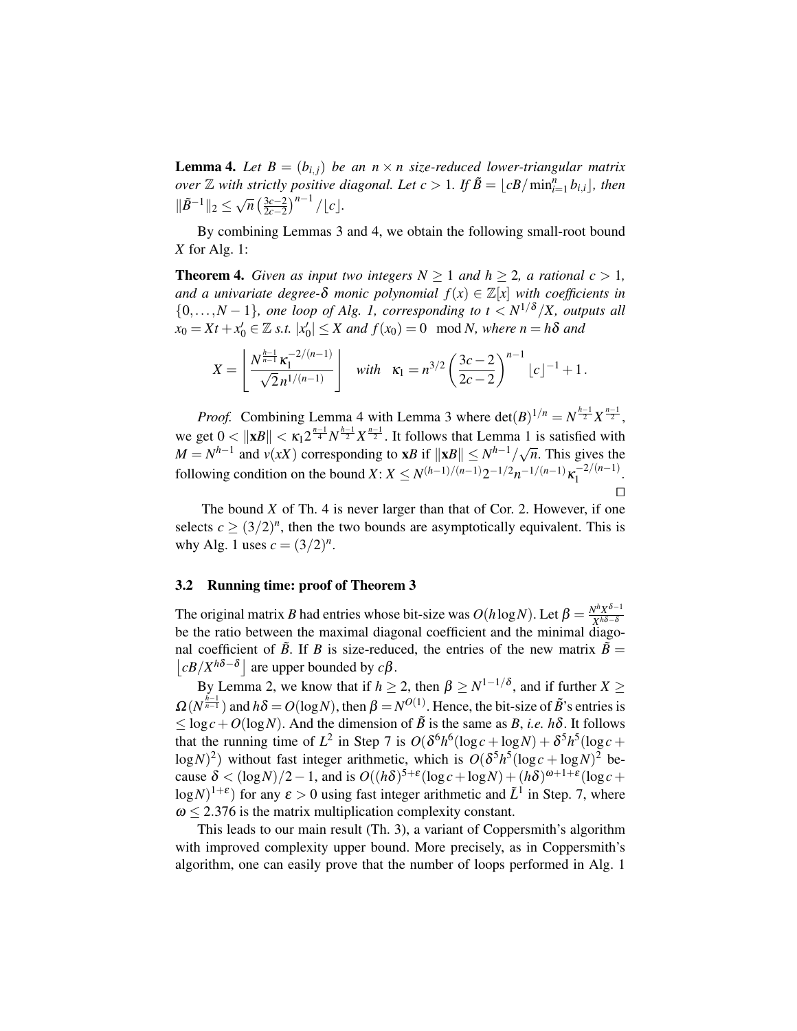**Lemma 4.** Let  $B = (b_{i,j})$  be an  $n \times n$  size-reduced lower-triangular matrix *over*  $\mathbb Z$  *with strictly positive diagonal. Let*  $c > 1$ *. If*  $\tilde{B} = \lfloor cB/\text{min}_{i=1}^n b_{i,i} \rfloor$ *, then*  $\|\tilde{B}^{-1}\|_2 \leq \sqrt$ *n*<sup>(3c−2</sup>)  $\frac{3c-2}{2c-2}\big)^{n-1}/\lfloor c \rfloor.$ 

By combining Lemmas 3 and 4, we obtain the following small-root bound *X* for Alg. 1:

**Theorem 4.** *Given as input two integers N*  $\geq$  1 *and h*  $\geq$  2, *a rational c*  $>$  1*, and a univariate degree-* $\delta$  *monic polynomial*  $f(x) \in \mathbb{Z}[x]$  *with coefficients in*  $\{0,\ldots,N-1\}$ , one loop of Alg. 1, corresponding to  $t < N^{1/\delta}/X$ , outputs all  $f(x_0 = Xt + x'_0 \in \mathbb{Z} \text{ s.t. } |x'_0| \leq X \text{ and } f(x_0) = 0 \mod N, \text{ where } n = h\delta \text{ and } h$ 

$$
X = \left\lfloor \frac{N^{\frac{h-1}{n-1}} \kappa_1^{-2/(n-1)}}{\sqrt{2} n^{1/(n-1)}} \right\rfloor \quad \text{with} \quad \kappa_1 = n^{3/2} \left(\frac{3c-2}{2c-2}\right)^{n-1} \lfloor c \rfloor^{-1} + 1 \, .
$$

*Proof.* Combining Lemma 4 with Lemma 3 where  $\det(B)^{1/n} = N^{\frac{h-1}{2}} X^{\frac{n-1}{2}}$ , we get  $0 < ||xB|| < \kappa_1 2^{\frac{n-1}{4}} N^{\frac{n-1}{2}} X^{\frac{n-1}{2}}$ . It follows that Lemma 1 is satisfied with  $M = N^{h-1}$  and  $v(xX)$  corresponding to  $xB$  if  $\|\mathbf{x}B\| \le N^{h-1}/\sqrt{M}$ *n*. This gives the following condition on the bound *X*:  $X \le N^{(h-1)/(n-1)}2^{-1/2}n^{-1/(n-1)}\kappa_1^{-2/(n-1)}$  $\frac{(-2)}{1}$ .  $\Box$ 

The bound *X* of Th. 4 is never larger than that of Cor. 2. However, if one selects  $c \geq (3/2)^n$ , then the two bounds are asymptotically equivalent. This is why Alg. 1 uses  $c = (3/2)^n$ .

### 3.2 Running time: proof of Theorem 3

The original matrix *B* had entries whose bit-size was  $O(h \log N)$ . Let  $\beta = \frac{N^h X^{\delta-1}}{X^{h\delta-\delta}}$ *Xh*δ−<sup>δ</sup> be the ratio between the maximal diagonal coefficient and the minimal diagonal coefficient of  $\tilde{B}$ . If *B* is size-reduced, the entries of the new matrix  $\tilde{B}$  =  $|cB/X^{h\delta-\delta}|$  are upper bounded by  $c\beta$ .

By Lemma 2, we know that if  $h \ge 2$ , then  $\beta \ge N^{1-1/\delta}$ , and if further  $X \ge$  $\Omega(N^{\frac{h-1}{n-1}})$  and  $h\delta = O(\log N)$ , then  $\beta = N^{O(1)}$ . Hence, the bit-size of  $\tilde{B}$ 's entries is  $\leq$  log  $c + O(\log N)$ . And the dimension of  $\tilde{B}$  is the same as *B*, *i.e.* h $\delta$ . It follows that the running time of  $L^2$  in Step 7 is  $O(\delta^6 h^6 (\log c + \log N) + \delta^5 h^5 (\log c +$  $\log N$ <sup>2</sup>) without fast integer arithmetic, which is  $O(\delta^5 h^5 (\log c + \log N)^2)$  because  $\delta < (\log N)/2 - 1$ , and is  $O((h\delta)^{5+\epsilon}(\log c + \log N) + (h\delta)^{\omega+1+\epsilon}(\log c +$  $log N)^{1+\epsilon}$ ) for any  $\epsilon > 0$  using fast integer arithmetic and  $\tilde{L}^1$  in Step. 7, where  $\omega \leq 2.376$  is the matrix multiplication complexity constant.

This leads to our main result (Th. 3), a variant of Coppersmith's algorithm with improved complexity upper bound. More precisely, as in Coppersmith's algorithm, one can easily prove that the number of loops performed in Alg. 1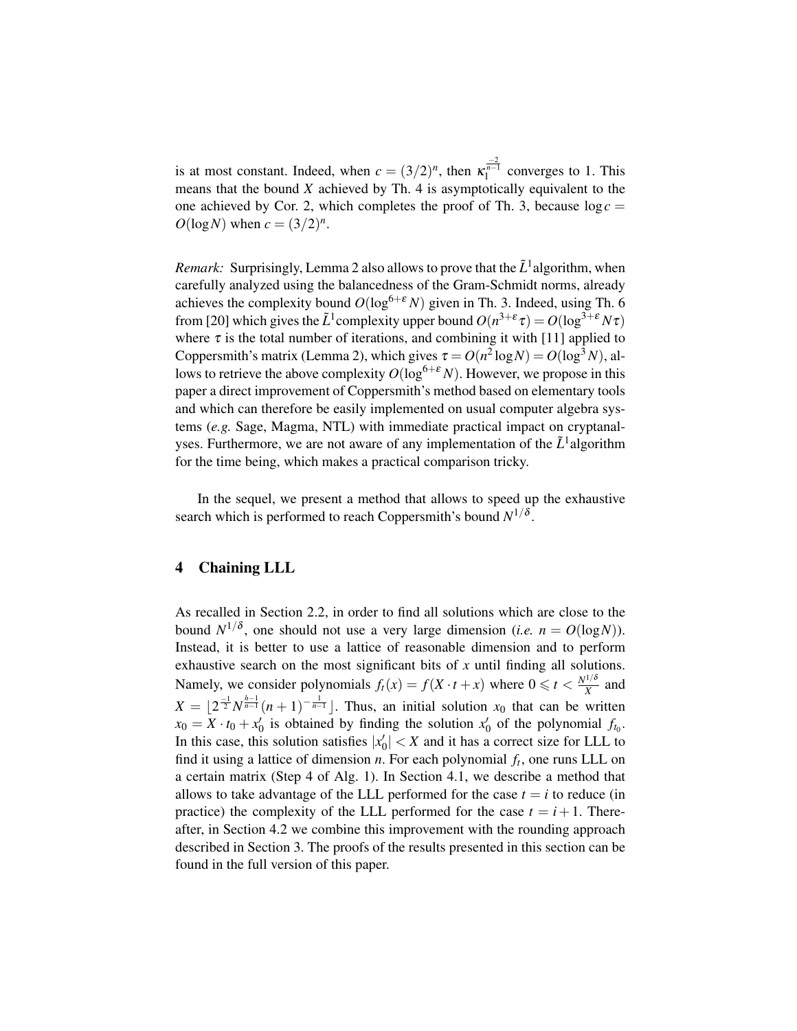is at most constant. Indeed, when  $c = (3/2)^n$ , then  $\kappa_1^{\frac{-2}{n-1}}$  converges to 1. This means that the bound *X* achieved by Th. 4 is asymptotically equivalent to the one achieved by Cor. 2, which completes the proof of Th. 3, because  $log c =$  $O(\log N)$  when  $c = (3/2)^n$ .

*Remark:* Surprisingly, Lemma 2 also allows to prove that the  $\tilde{L}^1$  algorithm, when carefully analyzed using the balancedness of the Gram-Schmidt norms, already achieves the complexity bound  $O(\log^{6+\epsilon} N)$  given in Th. 3. Indeed, using Th. 6 from [20] which gives the  $\tilde{L}^1$  complexity upper bound  $O(n^{3+\epsilon}\tau) = O(\log^{3+\epsilon} N\tau)$ where  $\tau$  is the total number of iterations, and combining it with [11] applied to Coppersmith's matrix (Lemma 2), which gives  $\tau = O(n^2 \log N) = O(\log^3 N)$ , allows to retrieve the above complexity  $O(\log^{6+\epsilon} N)$ . However, we propose in this paper a direct improvement of Coppersmith's method based on elementary tools and which can therefore be easily implemented on usual computer algebra systems (*e.g.* Sage, Magma, NTL) with immediate practical impact on cryptanalyses. Furthermore, we are not aware of any implementation of the  $\tilde{L}^1$  algorithm for the time being, which makes a practical comparison tricky.

In the sequel, we present a method that allows to speed up the exhaustive search which is performed to reach Coppersmith's bound  $N^{1/\delta}$ .

# 4 Chaining LLL

As recalled in Section 2.2, in order to find all solutions which are close to the bound  $N^{1/\delta}$ , one should not use a very large dimension (*i.e.*  $n = O(\log N)$ ). Instead, it is better to use a lattice of reasonable dimension and to perform exhaustive search on the most significant bits of *x* until finding all solutions. Namely, we consider polynomials  $f_t(x) = f(X \cdot t + x)$  where  $0 \leq t < \frac{N^{1/\delta}}{X}$  $\frac{X}{X}$  and  $X = \lfloor 2^{\frac{-1}{2}} N^{\frac{h-1}{n-1}} (n+1)^{-\frac{1}{n-1}} \rfloor$ . Thus, an initial solution *x*<sub>0</sub> that can be written  $x_0 = X \cdot t_0 + x'_0$  is obtained by finding the solution  $x'_0$  of the polynomial  $f_{t_0}$ . In this case, this solution satisfies  $|x'_0| < X$  and it has a correct size for LLL to find it using a lattice of dimension *n*. For each polynomial *f<sup>t</sup>* , one runs LLL on a certain matrix (Step 4 of Alg. 1). In Section 4.1, we describe a method that allows to take advantage of the LLL performed for the case  $t = i$  to reduce (in practice) the complexity of the LLL performed for the case  $t = i + 1$ . Thereafter, in Section 4.2 we combine this improvement with the rounding approach described in Section 3. The proofs of the results presented in this section can be found in the full version of this paper.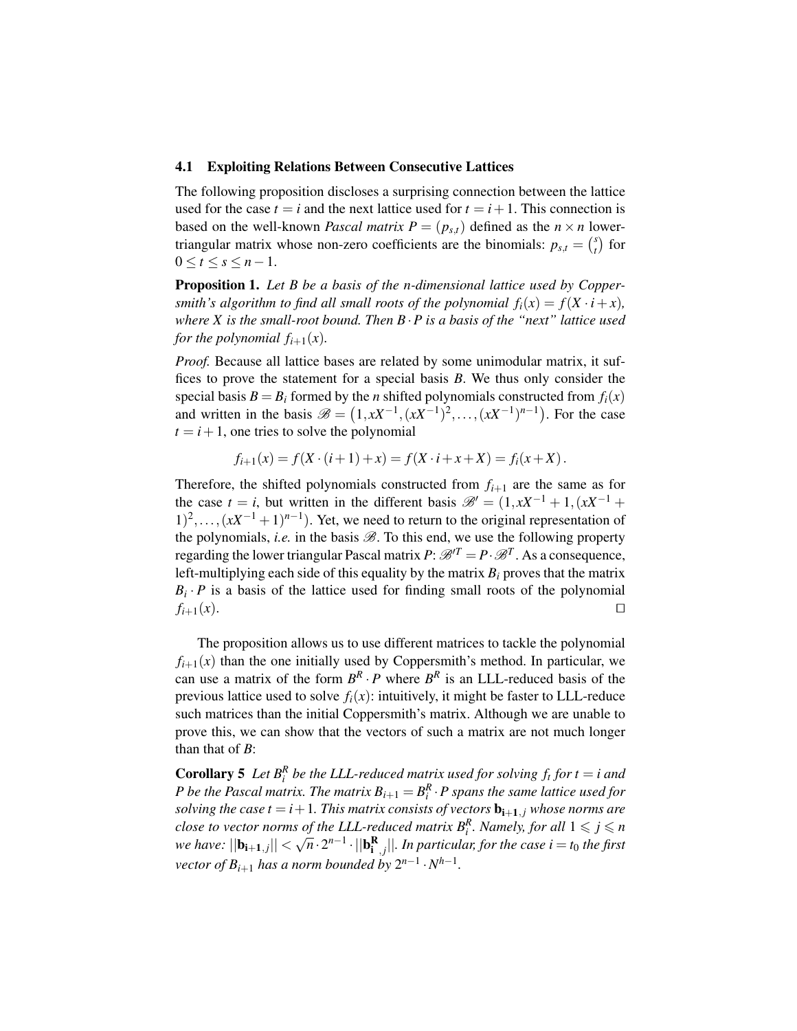#### 4.1 Exploiting Relations Between Consecutive Lattices

The following proposition discloses a surprising connection between the lattice used for the case  $t = i$  and the next lattice used for  $t = i + 1$ . This connection is based on the well-known *Pascal matrix*  $P = (p_{s,t})$  defined as the  $n \times n$  lowertriangular matrix whose non-zero coefficients are the binomials:  $p_{s,t} = \binom{s}{t}$  $f(t)$  for  $0 \le t \le s \le n-1$ .

Proposition 1. *Let B be a basis of the n-dimensional lattice used by Coppersmith's algorithm to find all small roots of the polynomial*  $f_i(x) = f(X \cdot i + x)$ *, where X is the small-root bound. Then B*·*P is a basis of the "next" lattice used for the polynomial*  $f_{i+1}(x)$ *.* 

*Proof.* Because all lattice bases are related by some unimodular matrix, it suffices to prove the statement for a special basis *B*. We thus only consider the special basis  $B = B_i$  formed by the *n* shifted polynomials constructed from  $f_i(x)$ and written in the basis  $\mathscr{B} = (1, xX^{-1}, (XX^{-1})^2, ..., (XX^{-1})^{n-1})$ . For the case  $t = i + 1$ , one tries to solve the polynomial

$$
f_{i+1}(x) = f(X \cdot (i+1) + x) = f(X \cdot i + x + X) = f_i(x+X).
$$

Therefore, the shifted polynomials constructed from  $f_{i+1}$  are the same as for the case  $t = i$ , but written in the different basis  $\mathcal{B}' = (1, xX^{-1} + 1, (xX^{-1} +$  $(1)^2, \ldots, (xX^{-1}+1)^{n-1}$ ). Yet, we need to return to the original representation of the polynomials, *i.e.* in the basis  $\mathcal{B}$ . To this end, we use the following property regarding the lower triangular Pascal matrix  $P: \mathcal{B}^{T} = P \cdot \mathcal{B}^{T}$ . As a consequence, left-multiplying each side of this equality by the matrix  $B_i$  proves that the matrix  $B_i \cdot P$  is a basis of the lattice used for finding small roots of the polynomial  $f_{i+1}(x)$ .

The proposition allows us to use different matrices to tackle the polynomial  $f_{i+1}(x)$  than the one initially used by Coppersmith's method. In particular, we can use a matrix of the form  $B^R \cdot P$  where  $B^R$  is an LLL-reduced basis of the previous lattice used to solve  $f_i(x)$ : intuitively, it might be faster to LLL-reduce such matrices than the initial Coppersmith's matrix. Although we are unable to prove this, we can show that the vectors of such a matrix are not much longer than that of *B*:

**Corollary 5** Let  $B_i^R$  be the LLL-reduced matrix used for solving  $f_t$  for  $t = i$  and *P* be the Pascal matrix. The matrix  $B_{i+1} = B_i^R \cdot P$  spans the same lattice used for *solving the case t* =  $i+1$ *. This matrix consists of vectors*  $\mathbf{b}_{i+1,j}$  *whose norms are close to vector norms of the LLL-reduced matrix*  $B_i^R$ *. Namely, for all*  $1 \leqslant j \leqslant n$ *x x k i vector horms of the EEE-reduced matrix*  $D_i$ *. <i>Namety, for an*  $1 \leq j \leq n$ <br>*we have:*  $||\mathbf{b}_{i+1,j}|| < \sqrt{n} \cdot 2^{n-1} \cdot ||\mathbf{b}_{i,j}^R||$ . *In particular, for the case i* = *t*<sub>0</sub> *the first vector of*  $B_{i+1}$  *has a norm bounded by*  $2^{n-1} \cdot N^{h-1}$ *.*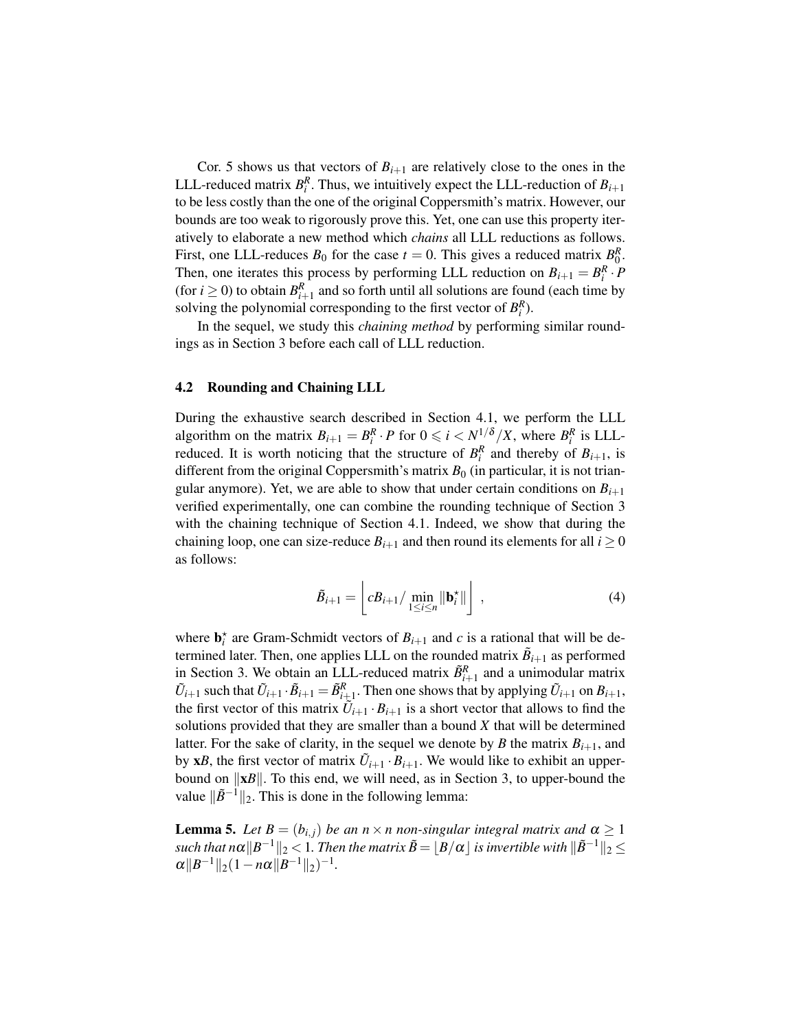Cor. 5 shows us that vectors of  $B_{i+1}$  are relatively close to the ones in the LLL-reduced matrix  $B_i^R$ . Thus, we intuitively expect the LLL-reduction of  $B_{i+1}$ to be less costly than the one of the original Coppersmith's matrix. However, our bounds are too weak to rigorously prove this. Yet, one can use this property iteratively to elaborate a new method which *chains* all LLL reductions as follows. First, one LLL-reduces  $B_0$  for the case  $t = 0$ . This gives a reduced matrix  $B_0^R$ . Then, one iterates this process by performing LLL reduction on  $B_{i+1} = B_i^R \cdot P$ (for  $i \geq 0$ ) to obtain  $B_{i+1}^R$  and so forth until all solutions are found (each time by solving the polynomial corresponding to the first vector of  $B_i^R$ ).

In the sequel, we study this *chaining method* by performing similar roundings as in Section 3 before each call of LLL reduction.

#### 4.2 Rounding and Chaining LLL

During the exhaustive search described in Section 4.1, we perform the LLL algorithm on the matrix  $B_{i+1} = B_i^R \cdot P$  for  $0 \leq i \leq N^{1/\delta}/X$ , where  $B_i^R$  is LLLreduced. It is worth noticing that the structure of  $B_i^R$  and thereby of  $B_{i+1}$ , is different from the original Coppersmith's matrix  $B_0$  (in particular, it is not triangular anymore). Yet, we are able to show that under certain conditions on  $B_{i+1}$ verified experimentally, one can combine the rounding technique of Section 3 with the chaining technique of Section 4.1. Indeed, we show that during the chaining loop, one can size-reduce  $B_{i+1}$  and then round its elements for all  $i \geq 0$ as follows:

$$
\tilde{B}_{i+1} = \left[ c B_{i+1} / \min_{1 \le i \le n} \|\mathbf{b}_i^*\| \right], \qquad (4)
$$

where  $\mathbf{b}_i^*$  are Gram-Schmidt vectors of  $B_{i+1}$  and *c* is a rational that will be determined later. Then, one applies LLL on the rounded matrix  $\tilde{B}_{i+1}$  as performed in Section 3. We obtain an LLL-reduced matrix  $\tilde{B}_{i+1}^R$  and a unimodular matrix  $\tilde{U}_{i+1}$  such that  $\tilde{U}_{i+1} \cdot \tilde{B}_{i+1} = \tilde{B}_{i+1}^R$ . Then one shows that by applying  $\tilde{U}_{i+1}$  on  $B_{i+1}$ , the first vector of this matrix  $\tilde{U}_{i+1} \cdot B_{i+1}$  is a short vector that allows to find the solutions provided that they are smaller than a bound *X* that will be determined latter. For the sake of clarity, in the sequel we denote by *B* the matrix  $B_{i+1}$ , and by  $xB$ , the first vector of matrix  $\tilde{U}_{i+1} \cdot B_{i+1}$ . We would like to exhibit an upperbound on  $\|\mathbf{x}B\|$ . To this end, we will need, as in Section 3, to upper-bound the value  $\|\tilde{B}^{-1}\|_2$ . This is done in the following lemma:

**Lemma 5.** *Let*  $B = (b_{i,j})$  *be an n* × *n* non-singular integral matrix and  $\alpha \ge 1$  $s$ uch that n $\alpha\|B^{-1}\|_2 < 1$ . Then the matrix  $\tilde{B} = \lfloor B/\alpha \rfloor$  is invertible with  $\|\tilde{B}^{-1}\|_2 \leq 1$  $\alpha \|B^{-1}\|_2 (1 - n\alpha \|B^{-1}\|_2)^{-1}.$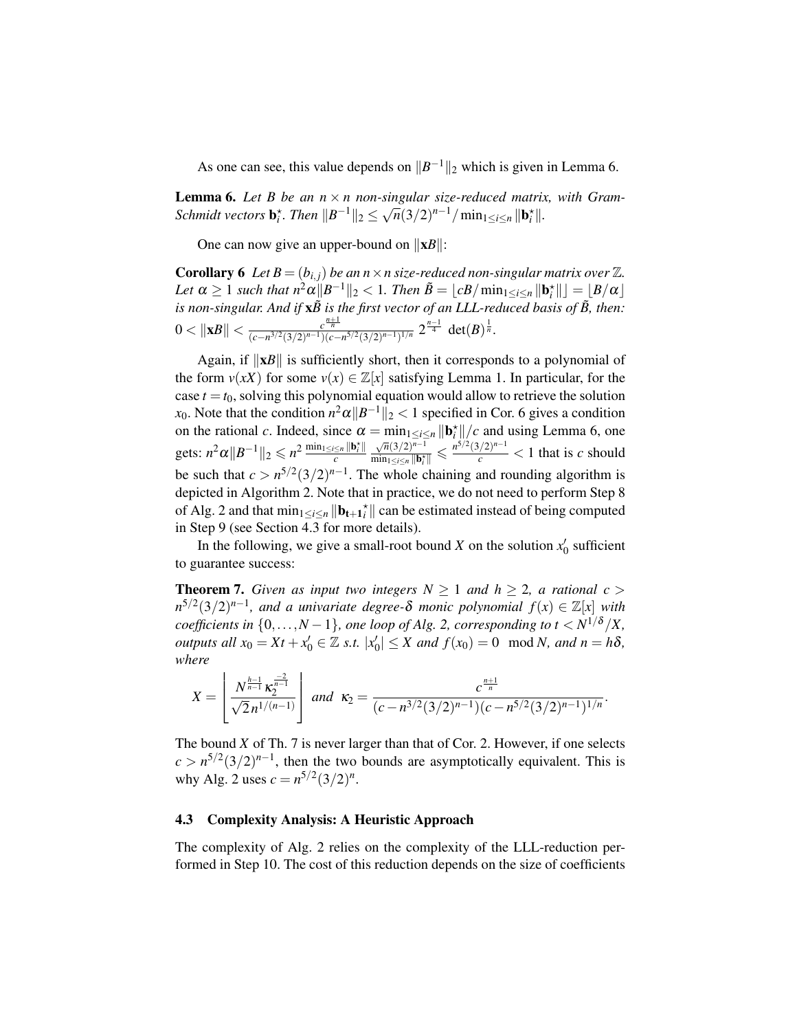As one can see, this value depends on  $||B^{-1}||_2$  which is given in Lemma 6.

**Lemma 6.** Let *B* be an  $n \times n$  non-singular size-reduced matrix, with Gram-*Schmidt vectors*  $\mathbf{b}_i^*$ . *Then*  $||B^{-1}||_2 \leq \sqrt{n}(3/2)^{n-1}/\min_{1 \leq i \leq n} ||\mathbf{b}_i^*||$ .

One can now give an upper-bound on  $\|\mathbf{x}B\|$ :

**Corollary 6** Let  $B = (b_{i,j})$  be an  $n \times n$  size-reduced non-singular matrix over  $\mathbb{Z}$ . *Let*  $\alpha \geq 1$  *such that*  $n^2 \alpha ||B^{-1}||_2 < 1$ *. Then*  $\tilde{B} = \lfloor cB/\text{min}_{1 \leq i \leq n} ||\mathbf{b}_i^{\star}|| \rfloor = \lfloor B/\alpha \rfloor$ is non-singular. And if  $\mathbf{x}\tilde{B}$  is the first vector of an LLL-reduced basis of  $\tilde{B}$ , then:  $0 < ||$ **x***B* $|| < \frac{c^{\frac{n+1}{n}}}{(c - n^{3/2}(3/2)n - 1)(c)}$  $\frac{c^{\frac{n+1}{n}}}{(c-n^{3/2}(3/2)^{n-1})(c-n^{5/2}(3/2)^{n-1})^{1/n}} 2^{\frac{n-1}{4}} \det(B)^{\frac{1}{n}}.$ 

Again, if  $\|\mathbf{x}B\|$  is sufficiently short, then it corresponds to a polynomial of the form  $v(xX)$  for some  $v(x) \in \mathbb{Z}[x]$  satisfying Lemma 1. In particular, for the case  $t = t_0$ , solving this polynomial equation would allow to retrieve the solution *x*<sub>0</sub>. Note that the condition  $n^2 \alpha ||B^{-1}||_2 < 1$  specified in Cor. 6 gives a condition on the rational *c*. Indeed, since  $\alpha = \min_{1 \le i \le n} ||\mathbf{b}_i^*||/c$  and using Lemma 6, one gets:  $n^2 \alpha ||B^{-1}||_2 \leqslant n^2 \frac{\min_{1 \leq i \leq n} ||\mathbf{b}_i^{\star}||}{c}$ *c*  $\sqrt{n}(3/2)^{n-1}$  $\frac{\sqrt{n}(3/2)^{n-1}}{\min_{1 \le i \le n} \|\mathbf{b}_i^*\|} \le \frac{n^{5/2}(3/2)^{n-1}}{c} < 1$  that is *c* should be such that  $c > n^{5/2} (3/2)^{n-1}$ . The whole chaining and rounding algorithm is depicted in Algorithm 2. Note that in practice, we do not need to perform Step 8 of Alg. 2 and that  $\min_{1 \le i \le n} ||\mathbf{b}_{t+1}||$  can be estimated instead of being computed in Step 9 (see Section 4.3 for more details).

In the following, we give a small-root bound *X* on the solution  $x'_0$  sufficient to guarantee success:

**Theorem 7.** Given as input two integers  $N \geq 1$  and  $h \geq 2$ , a rational  $c >$  $n^{5/2}(3/2)^{n-1}$ , and a univariate degree- $\delta$  monic polynomial  $f(x) \in \mathbb{Z}[x]$  with *coefficients in*  $\{0, \ldots, N-1\}$ *, one loop of Alg. 2, corresponding to t* <  $N^{1/\delta}/X$ *, outputs all*  $x_0 = Xt + x'_0 \in \mathbb{Z}$  *s.t.*  $|x'_0| \leq X$  *and*  $f(x_0) = 0 \mod N$ *, and*  $n = h\delta$ *, where*

$$
X=\left\lfloor \frac{N^{\frac{h-1}{n-1}}\kappa_2^{\frac{-2}{n-1}}}{\sqrt{2}\,n^{1/(n-1)}}\right\rfloor \text{ and } \kappa_2=\frac{c^{\frac{n+1}{n}}}{(c-n^{3/2}(3/2)^{n-1})(c-n^{5/2}(3/2)^{n-1})^{1/n}}.
$$

The bound *X* of Th. 7 is never larger than that of Cor. 2. However, if one selects  $c > n^{5/2} (3/2)^{n-1}$ , then the two bounds are asymptotically equivalent. This is why Alg. 2 uses  $c = n^{5/2} (3/2)^n$ .

# 4.3 Complexity Analysis: A Heuristic Approach

The complexity of Alg. 2 relies on the complexity of the LLL-reduction performed in Step 10. The cost of this reduction depends on the size of coefficients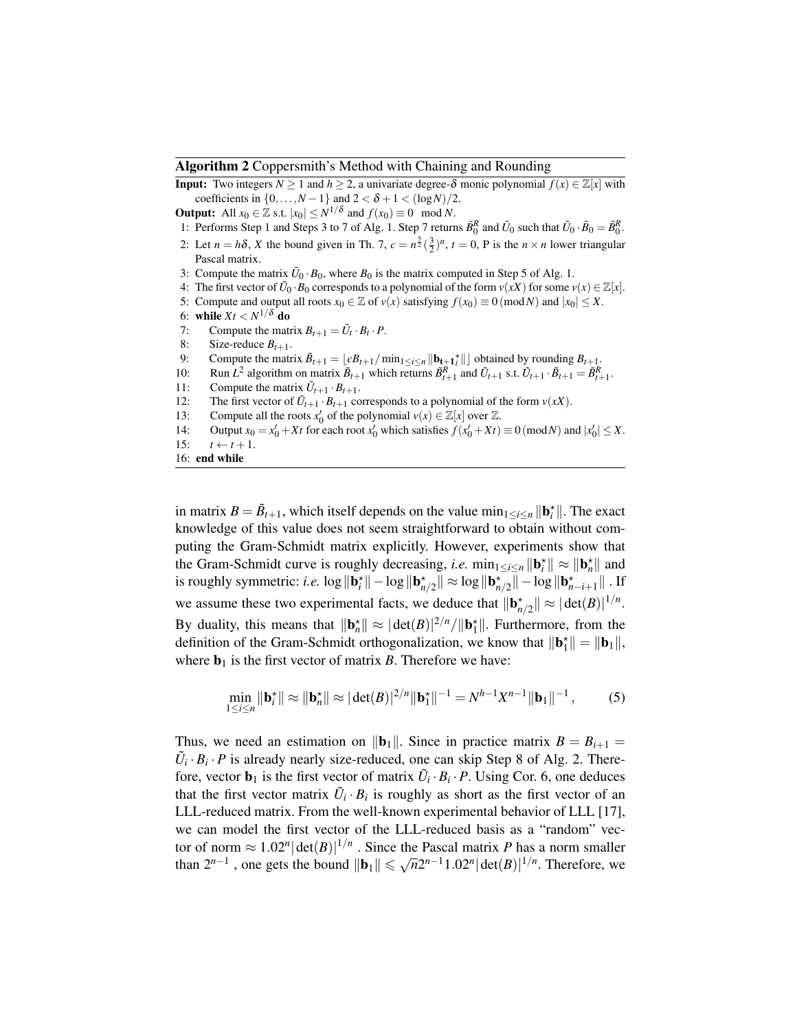#### Algorithm 2 Coppersmith's Method with Chaining and Rounding

**Input:** Two integers  $N \ge 1$  and  $h \ge 2$ , a univariate degree- $\delta$  monic polynomial  $f(x) \in \mathbb{Z}[x]$  with coefficients in  $\{0,\ldots,N-1\}$  and  $2 < \delta + 1 < (\log N)/2$ .

- **Output:** All  $x_0 \in \mathbb{Z}$  s.t.  $|x_0| \leq N^{1/\delta}$  and  $f(x_0) \equiv 0 \mod N$ .
- 1: Performs Step 1 and Steps 3 to 7 of Alg. 1. Step 7 returns  $\tilde{B}_0^R$  and  $\tilde{U}_0$  such that  $\tilde{U}_0 \cdot \tilde{B}_0 = \tilde{B}_0^R$ .
- 2: Let  $n = h\delta$ , X the bound given in Th. 7,  $c = n^{\frac{5}{2}}(\frac{3}{2})^n$ ,  $t = 0$ , P is the  $n \times n$  lower triangular Pascal matrix.
- 3: Compute the matrix  $\tilde{U}_0 \cdot B_0$ , where  $B_0$  is the matrix computed in Step 5 of Alg. 1.
- 4: The first vector of  $\tilde{U}_0 \cdot B_0$  corresponds to a polynomial of the form  $v(xX)$  for some  $v(x) \in \mathbb{Z}[x]$ .
- 5: Compute and output all roots  $x_0 \in \mathbb{Z}$  of  $v(x)$  satisfying  $f(x_0) \equiv 0 \pmod{N}$  and  $|x_0| \leq X$ .
- 6: while  $Xt < N^{1/\delta}$  do
- 7: Compute the matrix  $B_{t+1} = \tilde{U}_t \cdot B_t \cdot P$ .
- 8: Size-reduce  $B_{t+1}$ .<br>9: Compute the matr
- 9: Compute the matrix  $\tilde{B}_{t+1} = \left[ cB_{t+1} / \min_{1 \le i \le n} \|\mathbf{b}_{t+1} \right]$  obtained by rounding  $B_{t+1}$ .
- 10: Run  $L^2$  algorithm on matrix  $\tilde{B}_{t+1}$  which returns  $\tilde{B}_{t+1}^R$  and  $\tilde{U}_{t+1}$  s.t.  $\tilde{U}_{t+1} \cdot \tilde{B}_{t+1} = \tilde{B}_{t+1}^R$ .
- 11: Compute the matrix  $\tilde{U}_{t+1} \cdot B_{t+1}$ .
- 12: The first vector of  $\tilde{U}_{t+1} \cdot B_{t+1}$  corresponds to a polynomial of the form  $v(xX)$ .
- 13: Compute all the roots  $x'_0$  of the polynomial  $v(x) \in \mathbb{Z}[x]$  over  $\mathbb{Z}$ .
- 14: Output  $x_0 = x'_0 + Xt$  for each root  $x'_0$  which satisfies  $f(x'_0 + Xt) \equiv 0 \pmod{N}$  and  $|x'_0| \le X$ .
- 15:  $t \leftarrow t+1$ . 16: end while

in matrix  $B = \tilde{B}_{t+1}$ , which itself depends on the value  $\min_{1 \le i \le n} ||\mathbf{b}_i^*||$ . The exact knowledge of this value does not seem straightforward to obtain without computing the Gram-Schmidt matrix explicitly. However, experiments show that the Gram-Schmidt curve is roughly decreasing, *i.e.*  $\min_{1 \le i \le n} ||\mathbf{b}_i^*|| \approx ||\mathbf{b}_n^*||$  and is roughly symmetric: *i.e.*  $\log \|\mathbf{b}_{i}^{\star}\| - \log \|\mathbf{b}_{n/2}^{\star}\| \approx \log \|\mathbf{b}_{n/2}^{\star}\| - \log \|\mathbf{b}_{n- i+1}^{\star}\|$  . If we assume these two experimental facts, we deduce that  $\|\mathbf{b}_{n/2}^{\star}\| \approx |\det(B)|^{1/n}$ . By duality, this means that  $\|\mathbf{b}_n^*\| \approx |\det(B)|^{2/n} / \|\mathbf{b}_1^*\|$ . Furthermore, from the definition of the Gram-Schmidt orthogonalization, we know that  $\|\mathbf{b}_1^{\star}\| = \|\mathbf{b}_1\|$ , where  **is the first vector of matrix** *B***. Therefore we have:** 

$$
\min_{1 \le i \le n} \|\mathbf{b}_i^{\star}\| \approx \|\mathbf{b}_n^{\star}\| \approx |\det(B)|^{2/n} \|\mathbf{b}_1^{\star}\|^{-1} = N^{h-1} X^{n-1} \|\mathbf{b}_1\|^{-1},\tag{5}
$$

Thus, we need an estimation on  $\|\mathbf{b}_1\|$ . Since in practice matrix  $B = B_{i+1}$  $\tilde{U}_i \cdot B_i \cdot P$  is already nearly size-reduced, one can skip Step 8 of Alg. 2. Therefore, vector  $\mathbf{b}_1$  is the first vector of matrix  $\tilde{U}_i \cdot B_i \cdot P$ . Using Cor. 6, one deduces that the first vector matrix  $\tilde{U}_i \cdot B_i$  is roughly as short as the first vector of an LLL-reduced matrix. From the well-known experimental behavior of LLL [17], we can model the first vector of the LLL-reduced basis as a "random" vector of norm  $\approx 1.02^n |\det(B)|^{1/n}$ . Since the Pascal matrix *P* has a norm smaller than  $2^{n-1}$ , one gets the bound  $||\mathbf{b}_1|| \leq \sqrt{n}$  $\sqrt{n}2^{n-1}1.02^n|\det(B)|^{1/n}$ . Therefore, we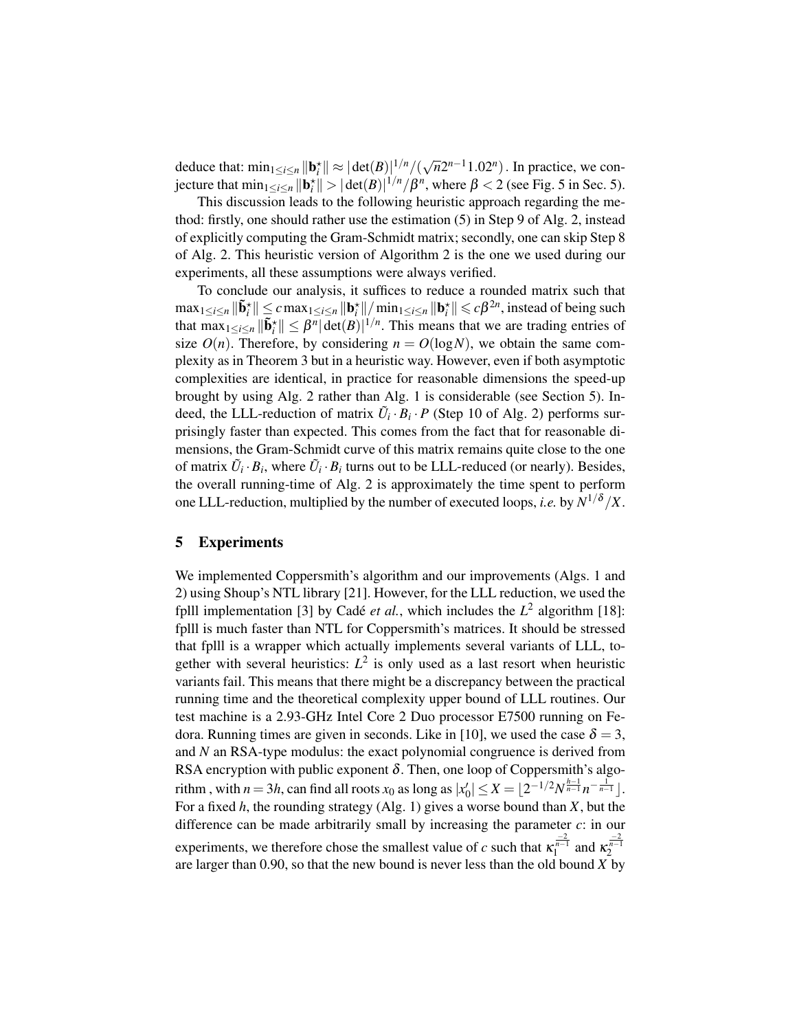deduce that:  $\min_{1 \le i \le n} ||\mathbf{b}_i^{\star}|| \approx |\det(B)|^{1/n}/(\sqrt{1})$  $\overline{n}2^{n-1}1.02^n$ ). In practice, we conjecture that  $\min_{1 \le i \le n} ||\mathbf{b}_i^{\star}|| > |\det(B)|^{1/n}/\beta^n$ , where  $\beta < 2$  (see Fig. 5 in Sec. 5).

This discussion leads to the following heuristic approach regarding the method: firstly, one should rather use the estimation (5) in Step 9 of Alg. 2, instead of explicitly computing the Gram-Schmidt matrix; secondly, one can skip Step 8 of Alg. 2. This heuristic version of Algorithm 2 is the one we used during our experiments, all these assumptions were always verified.

To conclude our analysis, it suffices to reduce a rounded matrix such that  $\max_{1 \leq i \leq n} \|\tilde{\mathbf{b}}_i^*\| \leq c \max_{1 \leq i \leq n} \|\mathbf{b}_i^*\| / \min_{1 \leq i \leq n} \|\mathbf{b}_i^*\| \leq c\beta^{2n}$ , instead of being such that  $\max_{1 \le i \le n} ||\tilde{\mathbf{b}}_i^{\star}|| \le \beta^n |\det(B)|^{1/n}$ . This means that we are trading entries of size  $O(n)$ . Therefore, by considering  $n = O(\log N)$ , we obtain the same complexity as in Theorem 3 but in a heuristic way. However, even if both asymptotic complexities are identical, in practice for reasonable dimensions the speed-up brought by using Alg. 2 rather than Alg. 1 is considerable (see Section 5). Indeed, the LLL-reduction of matrix  $\tilde{U}_i \cdot B_i \cdot P$  (Step 10 of Alg. 2) performs surprisingly faster than expected. This comes from the fact that for reasonable dimensions, the Gram-Schmidt curve of this matrix remains quite close to the one of matrix  $\tilde{U}_i \cdot B_i$ , where  $\tilde{U}_i \cdot B_i$  turns out to be LLL-reduced (or nearly). Besides, the overall running-time of Alg. 2 is approximately the time spent to perform one LLL-reduction, multiplied by the number of executed loops, *i.e.* by  $N^{1/\delta}/X$ .

### 5 Experiments

We implemented Coppersmith's algorithm and our improvements (Algs. 1 and 2) using Shoup's NTL library [21]. However, for the LLL reduction, we used the fplll implementation [3] by Cadé *et al.*, which includes the  $L^2$  algorithm [18]: fplll is much faster than NTL for Coppersmith's matrices. It should be stressed that fplll is a wrapper which actually implements several variants of LLL, together with several heuristics:  $L^2$  is only used as a last resort when heuristic variants fail. This means that there might be a discrepancy between the practical running time and the theoretical complexity upper bound of LLL routines. Our test machine is a 2.93-GHz Intel Core 2 Duo processor E7500 running on Fedora. Running times are given in seconds. Like in [10], we used the case  $\delta = 3$ , and *N* an RSA-type modulus: the exact polynomial congruence is derived from RSA encryption with public exponent  $\delta$ . Then, one loop of Coppersmith's algorithm , with *n* = 3*h*, can find all roots *x*<sub>0</sub> as long as  $|x'_0| \le X = \lfloor 2^{-1/2} N^{\frac{h-1}{n-1}} n^{-\frac{1}{n-1}} \rfloor$ . For a fixed *h*, the rounding strategy (Alg. 1) gives a worse bound than *X*, but the difference can be made arbitrarily small by increasing the parameter *c*: in our experiments, we therefore chose the smallest value of *c* such that  $\kappa_1^{\frac{-2}{n-1}}$  and  $\kappa_2^{\frac{-2}{n-1}}$ are larger than 0.90, so that the new bound is never less than the old bound *X* by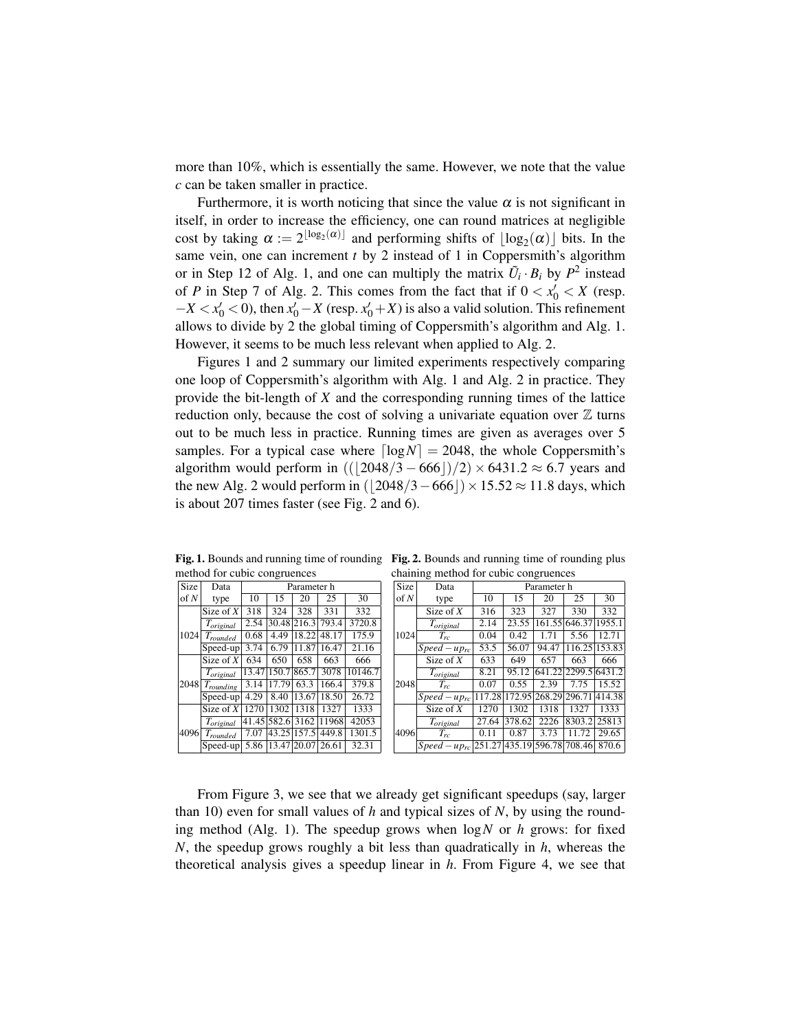more than 10%, which is essentially the same. However, we note that the value *c* can be taken smaller in practice.

Furthermore, it is worth noticing that since the value  $\alpha$  is not significant in itself, in order to increase the efficiency, one can round matrices at negligible cost by taking  $\alpha := 2^{\lfloor \log_2(\alpha) \rfloor}$  and performing shifts of  $\lfloor \log_2(\alpha) \rfloor$  bits. In the same vein, one can increment *t* by 2 instead of 1 in Coppersmith's algorithm or in Step 12 of Alg. 1, and one can multiply the matrix  $\tilde{U}_i \cdot B_i$  by  $P^2$  instead of *P* in Step 7 of Alg. 2. This comes from the fact that if  $0 < x'_0 < X$  (resp.  $-X < x'_0 < 0$ ), then  $x'_0 - X$  (resp.  $x'_0 + X$ ) is also a valid solution. This refinement allows to divide by 2 the global timing of Coppersmith's algorithm and Alg. 1. However, it seems to be much less relevant when applied to Alg. 2.

Figures 1 and 2 summary our limited experiments respectively comparing one loop of Coppersmith's algorithm with Alg. 1 and Alg. 2 in practice. They provide the bit-length of *X* and the corresponding running times of the lattice reduction only, because the cost of solving a univariate equation over  $\mathbb Z$  turns out to be much less in practice. Running times are given as averages over 5 samples. For a typical case where  $\lceil \log N \rceil = 2048$ , the whole Coppersmith's algorithm would perform in  $((2048/3 - 666))/2) \times 6431.2 \approx 6.7$  years and the new Alg. 2 would perform in  $(2048/3–666) \times 15.52 \approx 11.8$  days, which is about 207 times faster (see Fig. 2 and 6).

method for cubic congruences

| Size | Data           | Parameter h     |             |             |       |         |
|------|----------------|-----------------|-------------|-------------|-------|---------|
| of N | type           | $\overline{10}$ | 15          | 20          | 25    | 30      |
|      | Size of $X$    | 318             | 324         | 328         | 331   | 332     |
|      | $T_{original}$ | 2.54            | 30.48       | 216.3       | 793.4 | 3720.8  |
| 1024 | Trounded       | 0.68            | 4.49        | 18.22       | 48.17 | 175.9   |
|      | Speed-up       | 3.74            | 6.79        | 11.87       | 16.47 | 21.16   |
|      | Size of $X$    | 634             | 650         | 658         | 663   | 666     |
|      | $T_{original}$ | 13.47           | 150.7       | 865.7       | 3078  | 10146.7 |
| 2048 | $T_{rounding}$ | 3.14            | 17.79       | 63.3        | 166.4 | 379.8   |
|      | Speed-up       | 4.29            | 8.40        | 13.67       | 18.50 | 26.72   |
|      | Size of $X$    | 1270            | 1302        | 1318        | 1327  | 1333    |
|      | $T_{original}$ |                 | 41.45 582.6 | 3162        | 11968 | 42053   |
| 4096 | $T_{rounded}$  | 7.07            |             | 43.25 157.5 | 449.8 | 1301.5  |
|      | Speed-up       | 5.86            |             | 13.47 20.07 | 26.61 | 32.31   |
|      |                |                 |             |             |       |         |

Fig. 1. Bounds and running time of rounding Fig. 2. Bounds and running time of rounding plus chaining method for cubic congruences

| <br>monion for choic congruences |                                              |             |        |                     |        |               |  |
|----------------------------------|----------------------------------------------|-------------|--------|---------------------|--------|---------------|--|
| Size                             | Data                                         | Parameter h |        |                     |        |               |  |
| of N                             | type                                         | 10          | 15     | 20                  | 25     | 30            |  |
|                                  | Size of $X$                                  | 316         | 323    | 327                 | 330    | 332           |  |
|                                  | $T_{original}$                               | 2.14        | 23.55  | 161.55              | 646.37 | 1955.1        |  |
| 1024                             | $T_{rc}$                                     | 0.04        | 0.42   | 1.71                | 5.56   | 12.71         |  |
|                                  | $\overline{Speed - up_{rc}}$                 | 53.5        | 56.07  | 94.47               | 116.25 | 153.83        |  |
|                                  | Size of $X$                                  | 633         | 649    | 657                 | 663    | 666           |  |
|                                  | $T_{original}$                               | 8.21        | 95.12  | $\overline{6}41.22$ |        | 2299.5 6431.2 |  |
| 2048                             | $T_{rc}$                                     | 0.07        | 0.55   | 2.39                | 7.75   | 15.52         |  |
|                                  | $Speed-up_{rc}$                              | 117.28      | 172.95 | 268.29              | 296.71 | 414.38        |  |
|                                  | Size of $X$                                  | 1270        | 1302   | 1318                | 1327   | 1333          |  |
|                                  | $T_{original}$                               | 27.64       | 378.62 | 2226                | 8303.2 | 25813         |  |
| 4096                             | $T_{rc}$                                     | 0.11        | 0.87   | 3.73                | 11.72  | 29.65         |  |
|                                  | $Speed - up_{rc}   251.27   435.19   596.78$ |             |        |                     | 708.46 | 870.6         |  |
|                                  |                                              |             |        |                     |        |               |  |

From Figure 3, we see that we already get significant speedups (say, larger than 10) even for small values of *h* and typical sizes of *N*, by using the rounding method (Alg. 1). The speedup grows when log*N* or *h* grows: for fixed *N*, the speedup grows roughly a bit less than quadratically in *h*, whereas the theoretical analysis gives a speedup linear in *h*. From Figure 4, we see that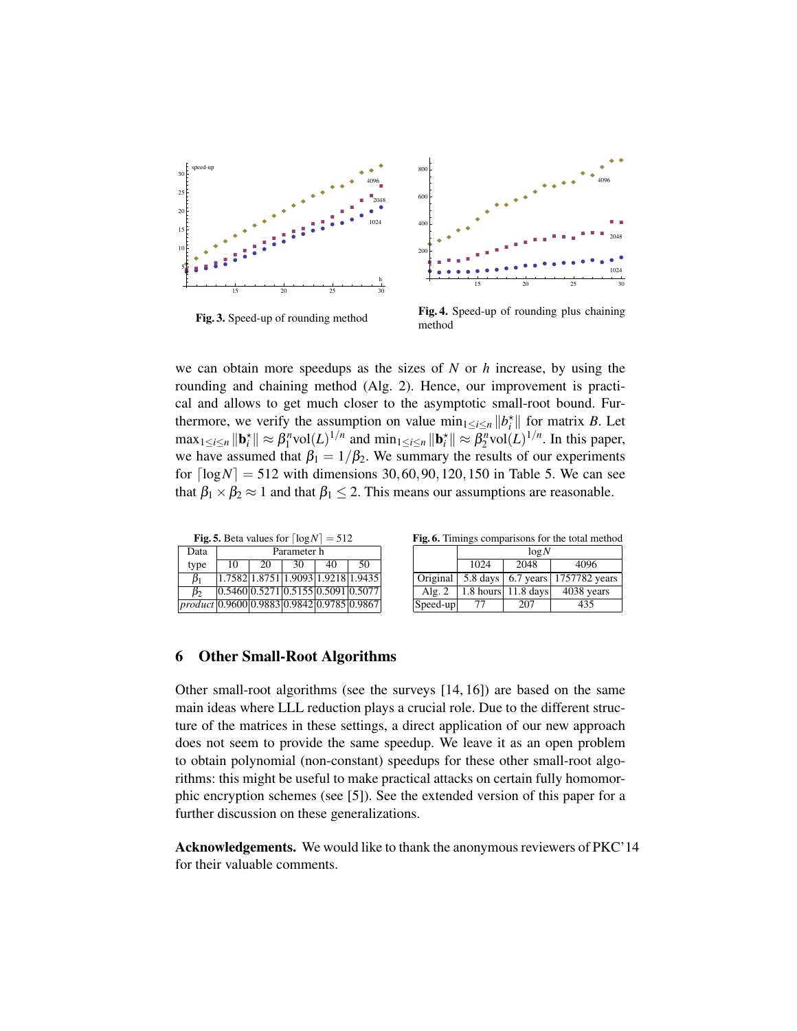

Fig. 3. Speed-up of rounding method

Fig. 4. Speed-up of rounding plus chaining method

we can obtain more speedups as the sizes of *N* or *h* increase, by using the rounding and chaining method (Alg. 2). Hence, our improvement is practical and allows to get much closer to the asymptotic small-root bound. Furthermore, we verify the assumption on value  $\min_{1 \le i \le n} ||b_i^*||$  for matrix *B*. Let  $\max_{1 \leq i \leq n} \|\mathbf{b}_i^*\| \approx \beta_1^n \text{vol}(L)^{1/n}$  and  $\min_{1 \leq i \leq n} \|\mathbf{b}_i^*\| \approx \beta_2^n \text{vol}(L)^{1/n}$ . In this paper, we have assumed that  $\beta_1 = 1/\beta_2$ . We summary the results of our experiments for  $\lceil \log N \rceil = 512$  with dimensions 30, 60, 90, 120, 150 in Table 5. We can see that  $\beta_1 \times \beta_2 \approx 1$  and that  $\beta_1 \leq 2$ . This means our assumptions are reasonable.

| Fig. 5. Beta values for $\lceil \log N \rceil = 512$ |                                                                  |    |    |    |                                    |  |  |
|------------------------------------------------------|------------------------------------------------------------------|----|----|----|------------------------------------|--|--|
| Data                                                 | Parameter h                                                      |    |    |    |                                    |  |  |
| type                                                 | 10                                                               | 20 | 30 | 40 | 50                                 |  |  |
| $\beta_1$                                            |                                                                  |    |    |    | 1.7582 1.8751 1.9093 1.9218 1.9435 |  |  |
| B,                                                   | $0.5460 \times 0.5271 \times 0.5155 \times 0.5091 \times 0.5077$ |    |    |    |                                    |  |  |
| product 0.9600 0.9883 0.9842 0.9785 0.9867           |                                                                  |    |    |    |                                    |  |  |

|  | Fig. 6. Timings comparisons for the total method |  |  |
|--|--------------------------------------------------|--|--|
|  |                                                  |  |  |

|            | log N      |                       |               |  |  |  |
|------------|------------|-----------------------|---------------|--|--|--|
|            | 1024       | 2048                  | 4096          |  |  |  |
| Original   | $5.8$ days | $6.7$ years           | 1757782 years |  |  |  |
| Alg. $2$   |            | $1.8$ hours 11.8 days | 4038 years    |  |  |  |
| $Speed-up$ | 77         | 207                   | 435           |  |  |  |

### 6 Other Small-Root Algorithms

Other small-root algorithms (see the surveys [14, 16]) are based on the same main ideas where LLL reduction plays a crucial role. Due to the different structure of the matrices in these settings, a direct application of our new approach does not seem to provide the same speedup. We leave it as an open problem to obtain polynomial (non-constant) speedups for these other small-root algorithms: this might be useful to make practical attacks on certain fully homomorphic encryption schemes (see [5]). See the extended version of this paper for a further discussion on these generalizations.

Acknowledgements. We would like to thank the anonymous reviewers of PKC'14 for their valuable comments.